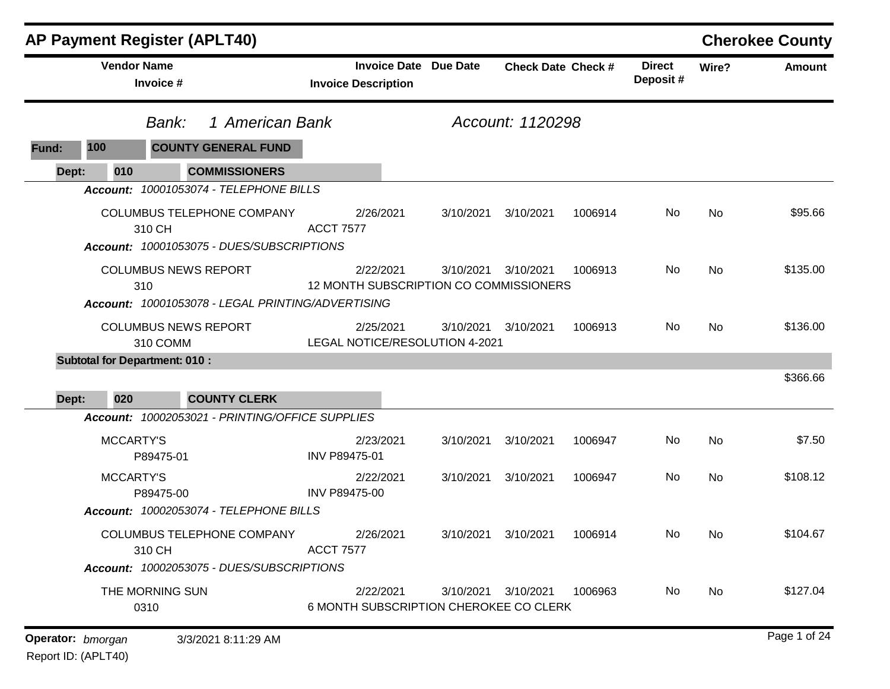| <b>AP Payment Register (APLT40)</b>                             |                                                            |                  |                           |         |                           |           | <b>Cherokee County</b> |
|-----------------------------------------------------------------|------------------------------------------------------------|------------------|---------------------------|---------|---------------------------|-----------|------------------------|
| <b>Vendor Name</b><br>Invoice #                                 | <b>Invoice Date Due Date</b><br><b>Invoice Description</b> |                  | <b>Check Date Check #</b> |         | <b>Direct</b><br>Deposit# | Wire?     | <b>Amount</b>          |
| 1 American Bank<br>Bank:                                        |                                                            | Account: 1120298 |                           |         |                           |           |                        |
| <b>COUNTY GENERAL FUND</b><br>100<br>Fund:                      |                                                            |                  |                           |         |                           |           |                        |
| 010<br><b>COMMISSIONERS</b><br>Dept:                            |                                                            |                  |                           |         |                           |           |                        |
| Account: 10001053074 - TELEPHONE BILLS                          |                                                            |                  |                           |         |                           |           |                        |
| COLUMBUS TELEPHONE COMPANY<br>310 CH                            | 2/26/2021<br><b>ACCT 7577</b>                              | 3/10/2021        | 3/10/2021                 | 1006914 | No.                       | <b>No</b> | \$95.66                |
| Account: 10001053075 - DUES/SUBSCRIPTIONS                       |                                                            |                  |                           |         |                           |           |                        |
| <b>COLUMBUS NEWS REPORT</b><br>310                              | 2/22/2021<br>12 MONTH SUBSCRIPTION CO COMMISSIONERS        | 3/10/2021        | 3/10/2021                 | 1006913 | No                        | <b>No</b> | \$135.00               |
| Account: 10001053078 - LEGAL PRINTING/ADVERTISING               |                                                            |                  |                           |         |                           |           |                        |
| <b>COLUMBUS NEWS REPORT</b><br>310 COMM                         | 2/25/2021<br>LEGAL NOTICE/RESOLUTION 4-2021                | 3/10/2021        | 3/10/2021                 | 1006913 | No.                       | No        | \$136.00               |
| <b>Subtotal for Department: 010:</b>                            |                                                            |                  |                           |         |                           |           |                        |
|                                                                 |                                                            |                  |                           |         |                           |           | \$366.66               |
| <b>COUNTY CLERK</b><br>020<br>Dept:                             |                                                            |                  |                           |         |                           |           |                        |
| Account: 10002053021 - PRINTING/OFFICE SUPPLIES                 |                                                            |                  |                           |         |                           |           |                        |
| <b>MCCARTY'S</b><br>P89475-01                                   | 2/23/2021<br>INV P89475-01                                 | 3/10/2021        | 3/10/2021                 | 1006947 | No                        | <b>No</b> | \$7.50                 |
| <b>MCCARTY'S</b><br>P89475-00                                   | 2/22/2021<br>INV P89475-00                                 | 3/10/2021        | 3/10/2021                 | 1006947 | No                        | <b>No</b> | \$108.12               |
| Account: 10002053074 - TELEPHONE BILLS                          |                                                            |                  |                           |         |                           |           |                        |
| COLUMBUS TELEPHONE COMPANY<br>310 CH                            | 2/26/2021<br><b>ACCT 7577</b>                              |                  | 3/10/2021 3/10/2021       | 1006914 | No                        | No        | \$104.67               |
| Account: 10002053075 - DUES/SUBSCRIPTIONS                       |                                                            |                  |                           |         |                           |           |                        |
| THE MORNING SUN<br>0310                                         | 2/22/2021<br>6 MONTH SUBSCRIPTION CHEROKEE CO CLERK        |                  | 3/10/2021 3/10/2021       | 1006963 | No                        | No        | \$127.04               |
|                                                                 |                                                            |                  |                           |         |                           |           | Page 1 of 24           |
| Operator: bmorgan<br>3/3/2021 8:11:29 AM<br>Report ID: (APLT40) |                                                            |                  |                           |         |                           |           |                        |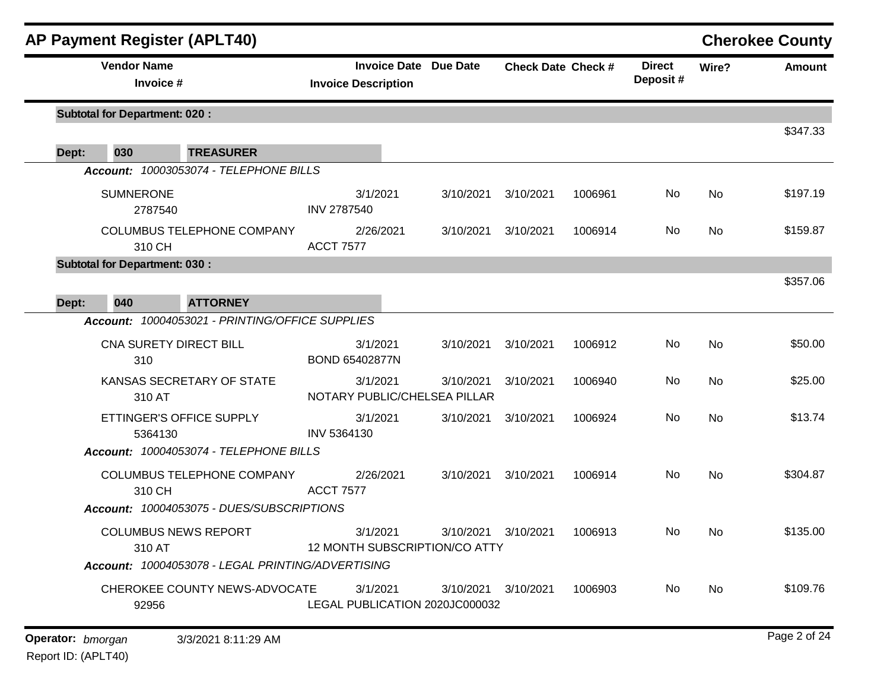|                   | <b>AP Payment Register (APLT40)</b>  |                                                                    |                                                            |                             |                           |         |                            |           | <b>Cherokee County</b> |
|-------------------|--------------------------------------|--------------------------------------------------------------------|------------------------------------------------------------|-----------------------------|---------------------------|---------|----------------------------|-----------|------------------------|
|                   | <b>Vendor Name</b><br>Invoice #      |                                                                    | <b>Invoice Date Due Date</b><br><b>Invoice Description</b> |                             | <b>Check Date Check #</b> |         | <b>Direct</b><br>Deposit # | Wire?     | Amount                 |
|                   | <b>Subtotal for Department: 020:</b> |                                                                    |                                                            |                             |                           |         |                            |           |                        |
| Dept:             | 030                                  | <b>TREASURER</b>                                                   |                                                            |                             |                           |         |                            |           | \$347.33               |
|                   |                                      | Account: 10003053074 - TELEPHONE BILLS                             |                                                            |                             |                           |         |                            |           |                        |
|                   | <b>SUMNERONE</b><br>2787540          |                                                                    | 3/1/2021<br><b>INV 2787540</b>                             | 3/10/2021                   | 3/10/2021                 | 1006961 | No                         | No        | \$197.19               |
|                   | 310 CH                               | COLUMBUS TELEPHONE COMPANY                                         | 2/26/2021<br><b>ACCT 7577</b>                              | 3/10/2021                   | 3/10/2021                 | 1006914 | No                         | No        | \$159.87               |
|                   | <b>Subtotal for Department: 030:</b> |                                                                    |                                                            |                             |                           |         |                            |           |                        |
|                   |                                      |                                                                    |                                                            |                             |                           |         |                            |           | \$357.06               |
| Dept:             | 040                                  | <b>ATTORNEY</b><br>Account: 10004053021 - PRINTING/OFFICE SUPPLIES |                                                            |                             |                           |         |                            |           |                        |
|                   |                                      |                                                                    |                                                            |                             |                           |         |                            |           |                        |
|                   | CNA SURETY DIRECT BILL<br>310        |                                                                    | 3/1/2021<br>BOND 65402877N                                 | 3/10/2021                   | 3/10/2021                 | 1006912 | <b>No</b>                  | No        | \$50.00                |
|                   | 310 AT                               | KANSAS SECRETARY OF STATE                                          | 3/1/2021<br>NOTARY PUBLIC/CHELSEA PILLAR                   | 3/10/2021                   | 3/10/2021                 | 1006940 | No                         | No        | \$25.00                |
|                   | 5364130                              | ETTINGER'S OFFICE SUPPLY                                           | 3/1/2021<br>INV 5364130                                    | 3/10/2021                   | 3/10/2021                 | 1006924 | No                         | <b>No</b> | \$13.74                |
|                   |                                      | Account: 10004053074 - TELEPHONE BILLS                             |                                                            |                             |                           |         |                            |           |                        |
|                   | 310 CH                               | COLUMBUS TELEPHONE COMPANY                                         | 2/26/2021<br><b>ACCT 7577</b>                              | 3/10/2021                   | 3/10/2021                 | 1006914 | No                         | No        | \$304.87               |
|                   |                                      | Account: 10004053075 - DUES/SUBSCRIPTIONS                          |                                                            |                             |                           |         |                            |           |                        |
|                   | COLUMBUS NEWS REPORT<br>310 AT       |                                                                    | 3/1/2021<br>12 MONTH SUBSCRIPTION/CO ATTY                  | 3/10/2021 3/10/2021 1006913 |                           |         | No                         | No.       | \$135.00               |
|                   |                                      | Account: 10004053078 - LEGAL PRINTING/ADVERTISING                  |                                                            |                             |                           |         |                            |           |                        |
|                   | 92956                                | CHEROKEE COUNTY NEWS-ADVOCATE                                      | 3/1/2021<br>LEGAL PUBLICATION 2020JC000032                 |                             | 3/10/2021 3/10/2021       | 1006903 | No.                        | No        | \$109.76               |
| Operator: bmorgan |                                      | 3/3/2021 8:11:29 AM                                                |                                                            |                             |                           |         |                            |           | Page 2 of 24           |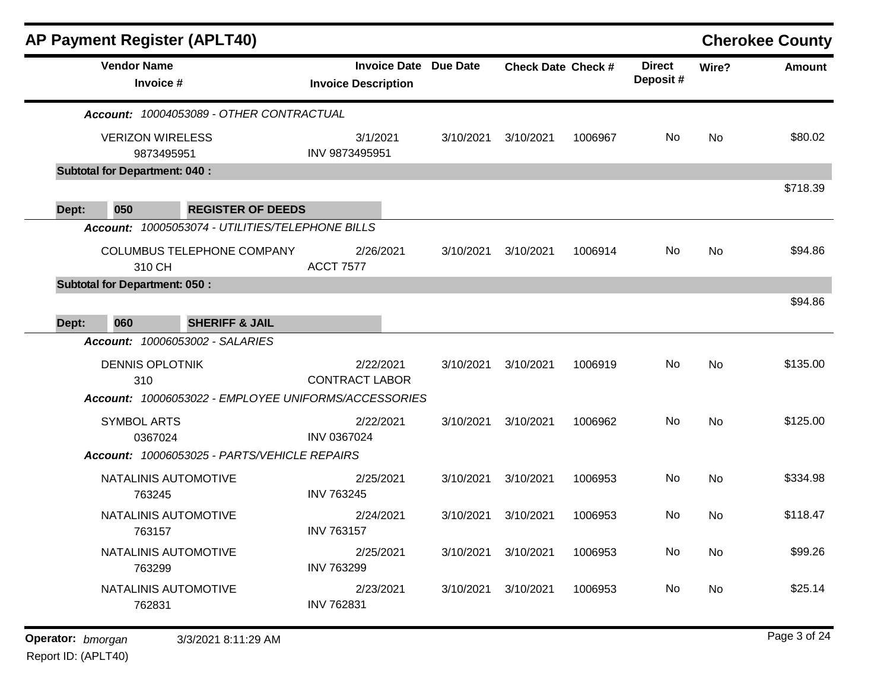|       |                                       | <b>AP Payment Register (APLT40)</b>                                                                  |                                    |                              |                           |         |                           |           | <b>Cherokee County</b> |
|-------|---------------------------------------|------------------------------------------------------------------------------------------------------|------------------------------------|------------------------------|---------------------------|---------|---------------------------|-----------|------------------------|
|       | <b>Vendor Name</b><br>Invoice #       |                                                                                                      | <b>Invoice Description</b>         | <b>Invoice Date Due Date</b> | <b>Check Date Check #</b> |         | <b>Direct</b><br>Deposit# | Wire?     | <b>Amount</b>          |
|       |                                       | Account: 10004053089 - OTHER CONTRACTUAL                                                             |                                    |                              |                           |         |                           |           |                        |
|       | <b>VERIZON WIRELESS</b><br>9873495951 |                                                                                                      | 3/1/2021<br>INV 9873495951         | 3/10/2021                    | 3/10/2021                 | 1006967 | <b>No</b>                 | No        | \$80.02                |
|       | <b>Subtotal for Department: 040:</b>  |                                                                                                      |                                    |                              |                           |         |                           |           | \$718.39               |
| Dept: | 050                                   | <b>REGISTER OF DEEDS</b>                                                                             |                                    |                              |                           |         |                           |           |                        |
|       |                                       | Account: 10005053074 - UTILITIES/TELEPHONE BILLS                                                     |                                    |                              |                           |         |                           |           |                        |
|       | 310 CH                                | COLUMBUS TELEPHONE COMPANY                                                                           | 2/26/2021<br><b>ACCT 7577</b>      | 3/10/2021                    | 3/10/2021                 | 1006914 | No                        | <b>No</b> | \$94.86                |
|       | <b>Subtotal for Department: 050:</b>  |                                                                                                      |                                    |                              |                           |         |                           |           |                        |
| Dept: | 060                                   | <b>SHERIFF &amp; JAIL</b>                                                                            |                                    |                              |                           |         |                           |           | \$94.86                |
|       |                                       | Account: 10006053002 - SALARIES                                                                      |                                    |                              |                           |         |                           |           |                        |
|       | <b>DENNIS OPLOTNIK</b><br>310         |                                                                                                      | 2/22/2021<br><b>CONTRACT LABOR</b> | 3/10/2021                    | 3/10/2021                 | 1006919 | No                        | No        | \$135.00               |
|       | <b>SYMBOL ARTS</b><br>0367024         | Account: 10006053022 - EMPLOYEE UNIFORMS/ACCESSORIES<br>Account: 10006053025 - PARTS/VEHICLE REPAIRS | 2/22/2021<br>INV 0367024           | 3/10/2021                    | 3/10/2021                 | 1006962 | <b>No</b>                 | <b>No</b> | \$125.00               |
|       | NATALINIS AUTOMOTIVE<br>763245        |                                                                                                      | 2/25/2021<br><b>INV 763245</b>     | 3/10/2021                    | 3/10/2021                 | 1006953 | No                        | <b>No</b> | \$334.98               |
|       | NATALINIS AUTOMOTIVE<br>763157        |                                                                                                      | 2/24/2021<br><b>INV 763157</b>     | 3/10/2021                    | 3/10/2021                 | 1006953 | No                        | No        | \$118.47               |
|       | NATALINIS AUTOMOTIVE<br>763299        |                                                                                                      | 2/25/2021<br><b>INV 763299</b>     | 3/10/2021                    | 3/10/2021                 | 1006953 | No                        | <b>No</b> | \$99.26                |
|       | NATALINIS AUTOMOTIVE<br>762831        |                                                                                                      | 2/23/2021<br><b>INV 762831</b>     | 3/10/2021                    | 3/10/2021                 | 1006953 | No                        | No        | \$25.14                |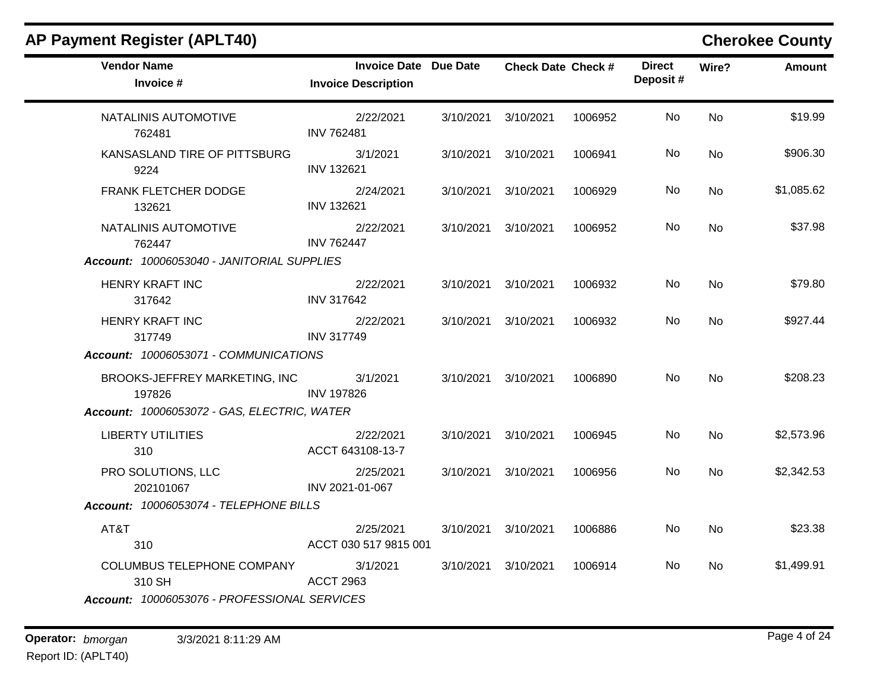| <b>Vendor Name</b><br>Invoice #              | <b>Invoice Date Due Date</b><br><b>Invoice Description</b> | <b>Check Date Check #</b> |         | <b>Direct</b><br>Deposit# | Wire?     | <b>Amount</b> |
|----------------------------------------------|------------------------------------------------------------|---------------------------|---------|---------------------------|-----------|---------------|
| NATALINIS AUTOMOTIVE<br>762481               | 2/22/2021<br><b>INV 762481</b>                             | 3/10/2021 3/10/2021       | 1006952 | No.                       | <b>No</b> | \$19.99       |
| KANSASLAND TIRE OF PITTSBURG<br>9224         | 3/1/2021<br><b>INV 132621</b>                              | 3/10/2021 3/10/2021       | 1006941 | No                        | <b>No</b> | \$906.30      |
| FRANK FLETCHER DODGE<br>132621               | 2/24/2021<br><b>INV 132621</b>                             | 3/10/2021 3/10/2021       | 1006929 | No.                       | <b>No</b> | \$1,085.62    |
| NATALINIS AUTOMOTIVE<br>762447               | 2/22/2021<br><b>INV 762447</b>                             | 3/10/2021 3/10/2021       | 1006952 | No.                       | No        | \$37.98       |
| Account: 10006053040 - JANITORIAL SUPPLIES   |                                                            |                           |         |                           |           |               |
| <b>HENRY KRAFT INC</b><br>317642             | 2/22/2021<br><b>INV 317642</b>                             | 3/10/2021 3/10/2021       | 1006932 | No.                       | No        | \$79.80       |
| HENRY KRAFT INC<br>317749                    | 2/22/2021<br><b>INV 317749</b>                             | 3/10/2021 3/10/2021       | 1006932 | No                        | <b>No</b> | \$927.44      |
| Account: 10006053071 - COMMUNICATIONS        |                                                            |                           |         |                           |           |               |
| BROOKS-JEFFREY MARKETING, INC<br>197826      | 3/1/2021<br><b>INV 197826</b>                              | 3/10/2021 3/10/2021       | 1006890 | No.                       | <b>No</b> | \$208.23      |
| Account: 10006053072 - GAS, ELECTRIC, WATER  |                                                            |                           |         |                           |           |               |
| <b>LIBERTY UTILITIES</b><br>310              | 2/22/2021<br>ACCT 643108-13-7                              | 3/10/2021 3/10/2021       | 1006945 | No.                       | No        | \$2,573.96    |
| PRO SOLUTIONS, LLC<br>202101067              | 2/25/2021<br>INV 2021-01-067                               | 3/10/2021 3/10/2021       | 1006956 | No.                       | <b>No</b> | \$2,342.53    |
| Account: 10006053074 - TELEPHONE BILLS       |                                                            |                           |         |                           |           |               |
| AT&T<br>310                                  | 2/25/2021<br>ACCT 030 517 9815 001                         | 3/10/2021 3/10/2021       | 1006886 | No                        | <b>No</b> | \$23.38       |
| COLUMBUS TELEPHONE COMPANY<br>310 SH         | 3/1/2021<br><b>ACCT 2963</b>                               | 3/10/2021 3/10/2021       | 1006914 | No.                       | No        | \$1,499.91    |
| Account: 10006053076 - PROFESSIONAL SERVICES |                                                            |                           |         |                           |           |               |

**Operator:** bmorgan 3/3/2021 8:11:29 AM **bigger 3/3/2021 8:11:29 AM bigger 3.11:29 AM**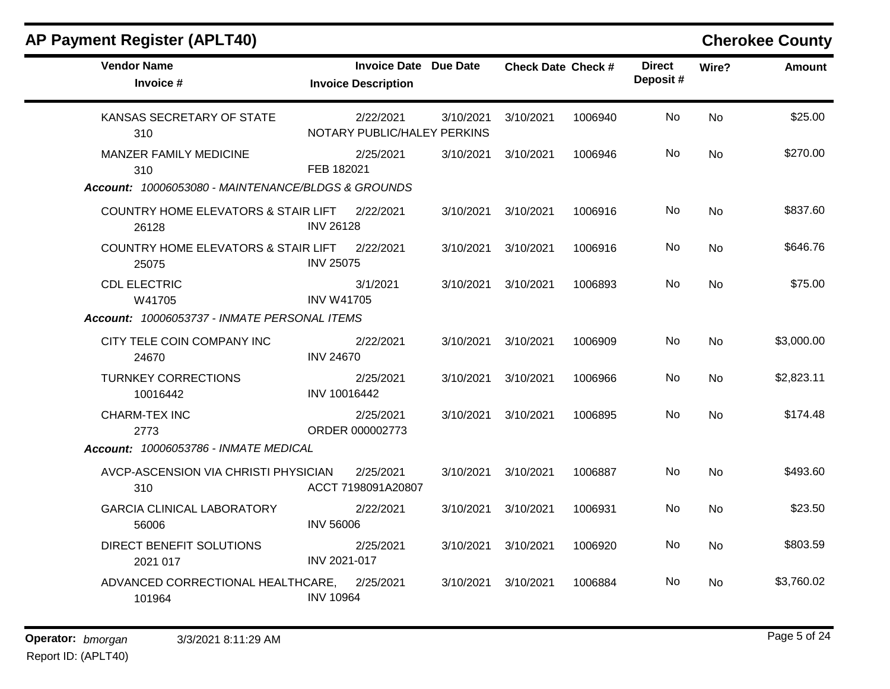| <b>Vendor Name</b><br>Invoice #                                                     | <b>Invoice Date Due Date</b><br><b>Invoice Description</b> |           | <b>Check Date Check #</b> |         | <b>Direct</b><br>Deposit# | Wire?     | <b>Amount</b> |
|-------------------------------------------------------------------------------------|------------------------------------------------------------|-----------|---------------------------|---------|---------------------------|-----------|---------------|
| KANSAS SECRETARY OF STATE<br>310                                                    | 2/22/2021<br>NOTARY PUBLIC/HALEY PERKINS                   | 3/10/2021 | 3/10/2021                 | 1006940 | No                        | <b>No</b> | \$25.00       |
| MANZER FAMILY MEDICINE<br>310<br>Account: 10006053080 - MAINTENANCE/BLDGS & GROUNDS | 2/25/2021<br>FEB 182021                                    | 3/10/2021 | 3/10/2021                 | 1006946 | No.                       | <b>No</b> | \$270.00      |
| COUNTRY HOME ELEVATORS & STAIR LIFT<br>26128                                        | 2/22/2021<br><b>INV 26128</b>                              | 3/10/2021 | 3/10/2021                 | 1006916 | No                        | <b>No</b> | \$837.60      |
| COUNTRY HOME ELEVATORS & STAIR LIFT<br>25075                                        | 2/22/2021<br><b>INV 25075</b>                              | 3/10/2021 | 3/10/2021                 | 1006916 | No                        | <b>No</b> | \$646.76      |
| <b>CDL ELECTRIC</b><br>W41705                                                       | 3/1/2021<br><b>INV W41705</b>                              | 3/10/2021 | 3/10/2021                 | 1006893 | No                        | <b>No</b> | \$75.00       |
| Account: 10006053737 - INMATE PERSONAL ITEMS                                        |                                                            |           |                           |         |                           |           |               |
| CITY TELE COIN COMPANY INC<br>24670                                                 | 2/22/2021<br><b>INV 24670</b>                              | 3/10/2021 | 3/10/2021                 | 1006909 | No                        | <b>No</b> | \$3,000.00    |
| <b>TURNKEY CORRECTIONS</b><br>10016442                                              | 2/25/2021<br>INV 10016442                                  | 3/10/2021 | 3/10/2021                 | 1006966 | No                        | <b>No</b> | \$2,823.11    |
| <b>CHARM-TEX INC</b><br>2773                                                        | 2/25/2021<br>ORDER 000002773                               | 3/10/2021 | 3/10/2021                 | 1006895 | No                        | <b>No</b> | \$174.48      |
| Account: 10006053786 - INMATE MEDICAL                                               |                                                            |           |                           |         |                           |           |               |
| AVCP-ASCENSION VIA CHRISTI PHYSICIAN<br>310                                         | 2/25/2021<br>ACCT 7198091A20807                            | 3/10/2021 | 3/10/2021                 | 1006887 | <b>No</b>                 | <b>No</b> | \$493.60      |
| <b>GARCIA CLINICAL LABORATORY</b><br>56006                                          | 2/22/2021<br><b>INV 56006</b>                              | 3/10/2021 | 3/10/2021                 | 1006931 | No                        | No        | \$23.50       |
| DIRECT BENEFIT SOLUTIONS<br>2021 017                                                | 2/25/2021<br>INV 2021-017                                  | 3/10/2021 | 3/10/2021                 | 1006920 | No                        | <b>No</b> | \$803.59      |
| ADVANCED CORRECTIONAL HEALTHCARE,<br>101964                                         | 2/25/2021<br><b>INV 10964</b>                              | 3/10/2021 | 3/10/2021                 | 1006884 | No.                       | No        | \$3,760.02    |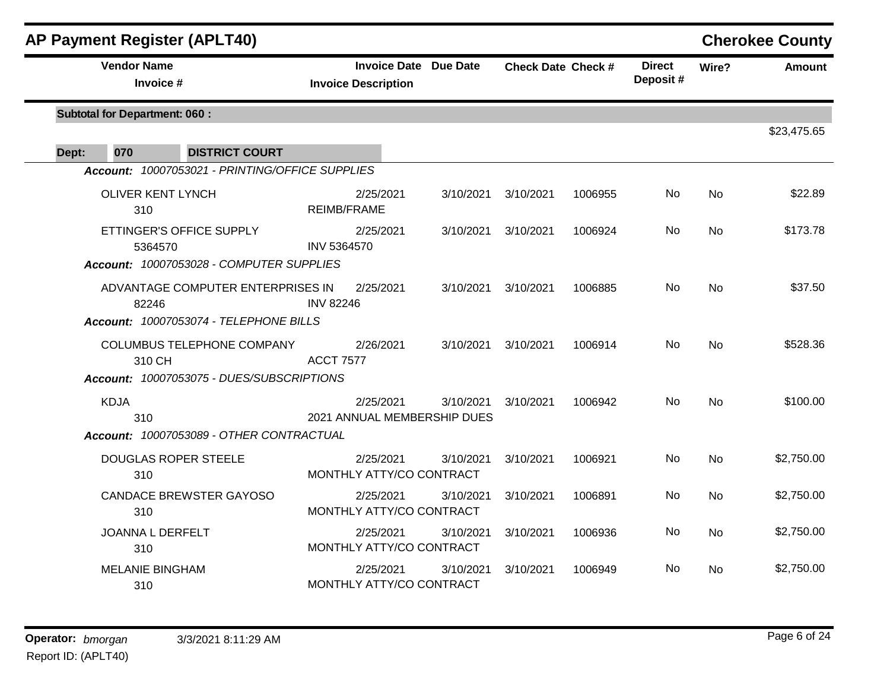| <b>AP Payment Register (APLT40)</b>             |                                                            |           |                           |         |                           |           | <b>Cherokee County</b> |
|-------------------------------------------------|------------------------------------------------------------|-----------|---------------------------|---------|---------------------------|-----------|------------------------|
| <b>Vendor Name</b><br>Invoice #                 | <b>Invoice Date Due Date</b><br><b>Invoice Description</b> |           | <b>Check Date Check #</b> |         | <b>Direct</b><br>Deposit# | Wire?     | <b>Amount</b>          |
| <b>Subtotal for Department: 060:</b>            |                                                            |           |                           |         |                           |           | \$23,475.65            |
| 070<br><b>DISTRICT COURT</b><br>Dept:           |                                                            |           |                           |         |                           |           |                        |
| Account: 10007053021 - PRINTING/OFFICE SUPPLIES |                                                            |           |                           |         |                           |           |                        |
| <b>OLIVER KENT LYNCH</b><br>310                 | 2/25/2021<br><b>REIMB/FRAME</b>                            | 3/10/2021 | 3/10/2021                 | 1006955 | No                        | <b>No</b> | \$22.89                |
| ETTINGER'S OFFICE SUPPLY<br>5364570             | 2/25/2021<br>INV 5364570                                   | 3/10/2021 | 3/10/2021                 | 1006924 | No.                       | <b>No</b> | \$173.78               |
| Account: 10007053028 - COMPUTER SUPPLIES        |                                                            |           |                           |         |                           |           |                        |
| ADVANTAGE COMPUTER ENTERPRISES IN<br>82246      | 2/25/2021<br><b>INV 82246</b>                              | 3/10/2021 | 3/10/2021                 | 1006885 | No.                       | <b>No</b> | \$37.50                |
| Account: 10007053074 - TELEPHONE BILLS          |                                                            |           |                           |         |                           |           |                        |
| COLUMBUS TELEPHONE COMPANY<br>310 CH            | 2/26/2021<br><b>ACCT 7577</b>                              | 3/10/2021 | 3/10/2021                 | 1006914 | No.                       | <b>No</b> | \$528.36               |
| Account: 10007053075 - DUES/SUBSCRIPTIONS       |                                                            |           |                           |         |                           |           |                        |
| <b>KDJA</b><br>310                              | 2/25/2021<br>2021 ANNUAL MEMBERSHIP DUES                   | 3/10/2021 | 3/10/2021                 | 1006942 | No.                       | <b>No</b> | \$100.00               |
| Account: 10007053089 - OTHER CONTRACTUAL        |                                                            |           |                           |         |                           |           |                        |
| <b>DOUGLAS ROPER STEELE</b><br>310              | 2/25/2021<br>MONTHLY ATTY/CO CONTRACT                      | 3/10/2021 | 3/10/2021                 | 1006921 | No                        | <b>No</b> | \$2,750.00             |
| <b>CANDACE BREWSTER GAYOSO</b><br>310           | 2/25/2021<br>MONTHLY ATTY/CO CONTRACT                      | 3/10/2021 | 3/10/2021                 | 1006891 | No.                       | No        | \$2,750.00             |
| JOANNA L DERFELT<br>310                         | 2/25/2021<br>MONTHLY ATTY/CO CONTRACT                      | 3/10/2021 | 3/10/2021                 | 1006936 | No                        | No        | \$2,750.00             |
| <b>MELANIE BINGHAM</b><br>310                   | 2/25/2021<br>MONTHLY ATTY/CO CONTRACT                      | 3/10/2021 | 3/10/2021                 | 1006949 | No                        | No        | \$2,750.00             |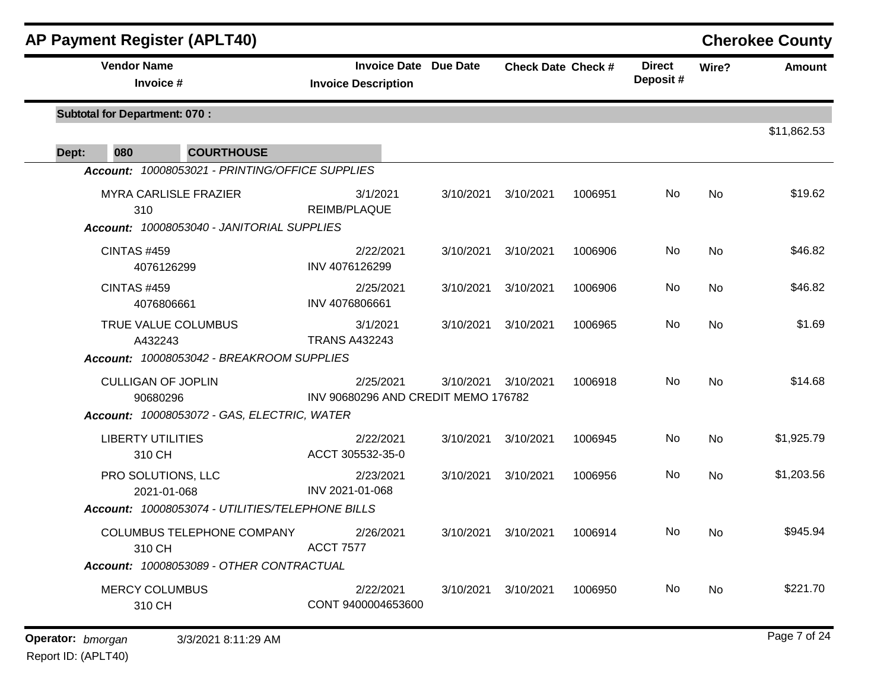| <b>AP Payment Register (APLT40)</b>              |                                                            |           |                           |         |                           |           | <b>Cherokee County</b> |
|--------------------------------------------------|------------------------------------------------------------|-----------|---------------------------|---------|---------------------------|-----------|------------------------|
| <b>Vendor Name</b><br>Invoice #                  | <b>Invoice Date Due Date</b><br><b>Invoice Description</b> |           | <b>Check Date Check #</b> |         | <b>Direct</b><br>Deposit# | Wire?     | Amount                 |
| <b>Subtotal for Department: 070:</b>             |                                                            |           |                           |         |                           |           |                        |
| <b>COURTHOUSE</b><br>080<br>Dept:                |                                                            |           |                           |         |                           |           | \$11,862.53            |
| Account: 10008053021 - PRINTING/OFFICE SUPPLIES  |                                                            |           |                           |         |                           |           |                        |
| <b>MYRA CARLISLE FRAZIER</b><br>310              | 3/1/2021<br>REIMB/PLAQUE                                   | 3/10/2021 | 3/10/2021                 | 1006951 | No                        | <b>No</b> | \$19.62                |
| Account: 10008053040 - JANITORIAL SUPPLIES       |                                                            |           |                           |         |                           |           |                        |
| <b>CINTAS #459</b><br>4076126299                 | 2/22/2021<br>INV 4076126299                                | 3/10/2021 | 3/10/2021                 | 1006906 | No                        | <b>No</b> | \$46.82                |
| <b>CINTAS #459</b><br>4076806661                 | 2/25/2021<br>INV 4076806661                                | 3/10/2021 | 3/10/2021                 | 1006906 | No                        | No        | \$46.82                |
| TRUE VALUE COLUMBUS<br>A432243                   | 3/1/2021<br><b>TRANS A432243</b>                           | 3/10/2021 | 3/10/2021                 | 1006965 | No                        | No        | \$1.69                 |
| Account: 10008053042 - BREAKROOM SUPPLIES        |                                                            |           |                           |         |                           |           |                        |
| <b>CULLIGAN OF JOPLIN</b><br>90680296            | 2/25/2021<br>INV 90680296 AND CREDIT MEMO 176782           | 3/10/2021 | 3/10/2021                 | 1006918 | No                        | No        | \$14.68                |
| Account: 10008053072 - GAS, ELECTRIC, WATER      |                                                            |           |                           |         |                           |           |                        |
| <b>LIBERTY UTILITIES</b><br>310 CH               | 2/22/2021<br>ACCT 305532-35-0                              | 3/10/2021 | 3/10/2021                 | 1006945 | <b>No</b>                 | <b>No</b> | \$1,925.79             |
| PRO SOLUTIONS, LLC<br>2021-01-068                | 2/23/2021<br>INV 2021-01-068                               | 3/10/2021 | 3/10/2021                 | 1006956 | No                        | <b>No</b> | \$1,203.56             |
| Account: 10008053074 - UTILITIES/TELEPHONE BILLS |                                                            |           |                           |         |                           |           |                        |
| COLUMBUS TELEPHONE COMPANY<br>310 CH             | 2/26/2021<br><b>ACCT 7577</b>                              | 3/10/2021 | 3/10/2021                 | 1006914 | No.                       | No        | \$945.94               |
| Account: 10008053089 - OTHER CONTRACTUAL         |                                                            |           |                           |         |                           |           |                        |
| <b>MERCY COLUMBUS</b><br>310 CH                  | 2/22/2021<br>CONT 9400004653600                            | 3/10/2021 | 3/10/2021                 | 1006950 | No.                       | No        | \$221.70               |
|                                                  |                                                            |           |                           |         |                           |           |                        |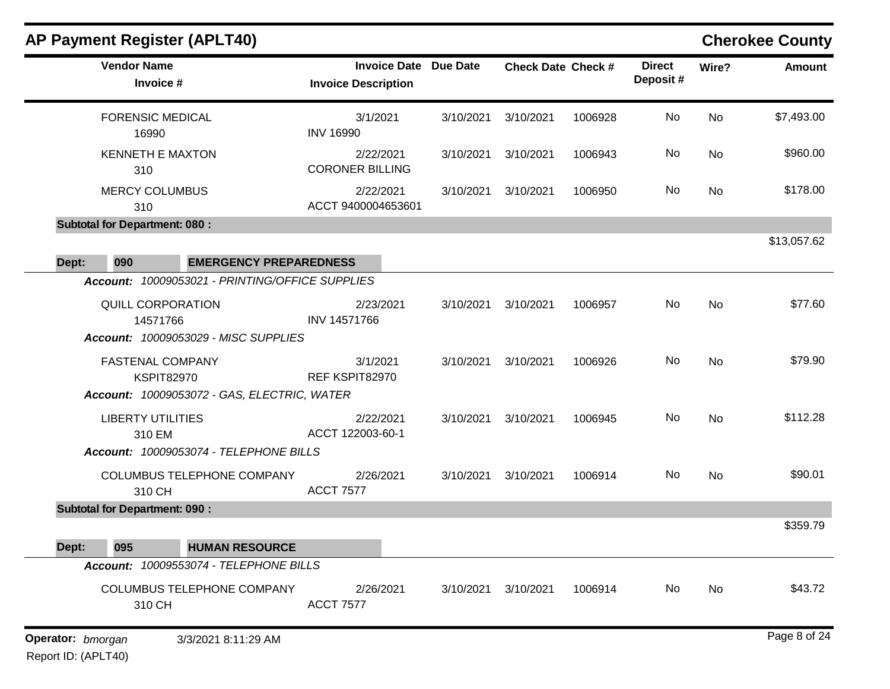| <b>AP Payment Register (APLT40)</b>                                                     |                                                            |           |                           |         |                           |           | <b>Cherokee County</b> |
|-----------------------------------------------------------------------------------------|------------------------------------------------------------|-----------|---------------------------|---------|---------------------------|-----------|------------------------|
| <b>Vendor Name</b><br>Invoice #                                                         | <b>Invoice Date Due Date</b><br><b>Invoice Description</b> |           | <b>Check Date Check #</b> |         | <b>Direct</b><br>Deposit# | Wire?     | <b>Amount</b>          |
| <b>FORENSIC MEDICAL</b><br>16990                                                        | 3/1/2021<br><b>INV 16990</b>                               | 3/10/2021 | 3/10/2021                 | 1006928 | No                        | No        | \$7,493.00             |
| <b>KENNETH E MAXTON</b><br>310                                                          | 2/22/2021<br><b>CORONER BILLING</b>                        | 3/10/2021 | 3/10/2021                 | 1006943 | No                        | No        | \$960.00               |
| <b>MERCY COLUMBUS</b><br>310                                                            | 2/22/2021<br>ACCT 9400004653601                            | 3/10/2021 | 3/10/2021                 | 1006950 | No                        | No        | \$178.00               |
| <b>Subtotal for Department: 080:</b>                                                    |                                                            |           |                           |         |                           |           |                        |
| 090<br><b>EMERGENCY PREPAREDNESS</b><br>Dept:                                           |                                                            |           |                           |         |                           |           | \$13,057.62            |
| Account: 10009053021 - PRINTING/OFFICE SUPPLIES<br><b>QUILL CORPORATION</b><br>14571766 | 2/23/2021<br>INV 14571766                                  | 3/10/2021 | 3/10/2021                 | 1006957 | No                        | <b>No</b> | \$77.60                |
| Account: 10009053029 - MISC SUPPLIES                                                    |                                                            |           |                           |         |                           |           |                        |
| <b>FASTENAL COMPANY</b><br><b>KSPIT82970</b>                                            | 3/1/2021<br>REF KSPIT82970                                 | 3/10/2021 | 3/10/2021                 | 1006926 | No                        | No        | \$79.90                |
| Account: 10009053072 - GAS, ELECTRIC, WATER                                             |                                                            |           |                           |         |                           |           |                        |
| <b>LIBERTY UTILITIES</b><br>310 EM<br>Account: 10009053074 - TELEPHONE BILLS            | 2/22/2021<br>ACCT 122003-60-1                              | 3/10/2021 | 3/10/2021                 | 1006945 | No                        | No        | \$112.28               |
| COLUMBUS TELEPHONE COMPANY<br>310 CH                                                    | 2/26/2021<br><b>ACCT 7577</b>                              | 3/10/2021 | 3/10/2021                 | 1006914 | No                        | No        | \$90.01                |
| <b>Subtotal for Department: 090:</b>                                                    |                                                            |           |                           |         |                           |           |                        |
| Dept:<br>095<br><b>HUMAN RESOURCE</b>                                                   |                                                            |           |                           |         |                           |           | \$359.79               |
| Account: 10009553074 - TELEPHONE BILLS                                                  |                                                            |           |                           |         |                           |           |                        |
| COLUMBUS TELEPHONE COMPANY<br>310 CH                                                    | 2/26/2021<br><b>ACCT 7577</b>                              | 3/10/2021 | 3/10/2021                 | 1006914 | No                        | No        | \$43.72                |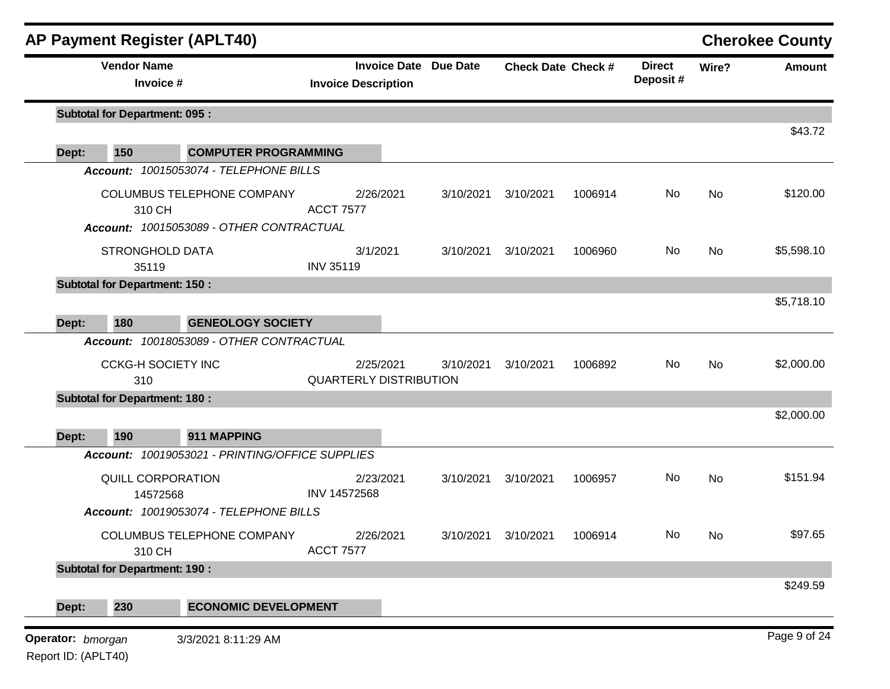|       | <b>Vendor Name</b>                          | <b>AP Payment Register (APLT40)</b>             |                  | <b>Invoice Date Due Date</b>  |           |                           |         | <b>Direct</b> |           | <b>Cherokee County</b> |
|-------|---------------------------------------------|-------------------------------------------------|------------------|-------------------------------|-----------|---------------------------|---------|---------------|-----------|------------------------|
|       | Invoice #                                   |                                                 |                  | <b>Invoice Description</b>    |           | <b>Check Date Check #</b> |         | Deposit#      | Wire?     | <b>Amount</b>          |
|       | <b>Subtotal for Department: 095:</b>        |                                                 |                  |                               |           |                           |         |               |           |                        |
| Dept: | 150                                         | <b>COMPUTER PROGRAMMING</b>                     |                  |                               |           |                           |         |               |           | \$43.72                |
|       |                                             | Account: 10015053074 - TELEPHONE BILLS          |                  |                               |           |                           |         |               |           |                        |
|       | 310 CH                                      | COLUMBUS TELEPHONE COMPANY                      | <b>ACCT 7577</b> | 2/26/2021                     | 3/10/2021 | 3/10/2021                 | 1006914 | No            | <b>No</b> | \$120.00               |
|       |                                             | Account: 10015053089 - OTHER CONTRACTUAL        |                  |                               |           |                           |         |               |           |                        |
|       | <b>STRONGHOLD DATA</b><br>35119             |                                                 | <b>INV 35119</b> | 3/1/2021                      | 3/10/2021 | 3/10/2021                 | 1006960 | No            | No        | \$5,598.10             |
|       | <b>Subtotal for Department: 150:</b>        |                                                 |                  |                               |           |                           |         |               |           |                        |
|       |                                             |                                                 |                  |                               |           |                           |         |               |           | \$5,718.10             |
| Dept: | 180                                         | <b>GENEOLOGY SOCIETY</b>                        |                  |                               |           |                           |         |               |           |                        |
|       | <b>Account:</b>                             | 10018053089 - OTHER CONTRACTUAL                 |                  |                               |           |                           |         |               |           |                        |
|       | <b>CCKG-H SOCIETY INC</b>                   |                                                 |                  | 2/25/2021                     | 3/10/2021 | 3/10/2021                 | 1006892 | No.           | <b>No</b> | \$2,000.00             |
|       | 310<br><b>Subtotal for Department: 180:</b> |                                                 |                  | <b>QUARTERLY DISTRIBUTION</b> |           |                           |         |               |           |                        |
|       |                                             |                                                 |                  |                               |           |                           |         |               |           | \$2,000.00             |
| Dept: | 190                                         | 911 MAPPING                                     |                  |                               |           |                           |         |               |           |                        |
|       |                                             | Account: 10019053021 - PRINTING/OFFICE SUPPLIES |                  |                               |           |                           |         |               |           |                        |
|       | QUILL CORPORATION<br>14572568               |                                                 | INV 14572568     | 2/23/2021                     | 3/10/2021 | 3/10/2021                 | 1006957 | No            | No        | \$151.94               |
|       |                                             | Account: 10019053074 - TELEPHONE BILLS          |                  |                               |           |                           |         |               |           |                        |
|       | 310 CH                                      | COLUMBUS TELEPHONE COMPANY                      | <b>ACCT 7577</b> | 2/26/2021                     |           | 3/10/2021 3/10/2021       | 1006914 | No            | No        | \$97.65                |
|       | <b>Subtotal for Department: 190:</b>        |                                                 |                  |                               |           |                           |         |               |           |                        |
| Dept: | 230                                         | <b>ECONOMIC DEVELOPMENT</b>                     |                  |                               |           |                           |         |               |           | \$249.59               |
|       |                                             |                                                 |                  |                               |           |                           |         |               |           |                        |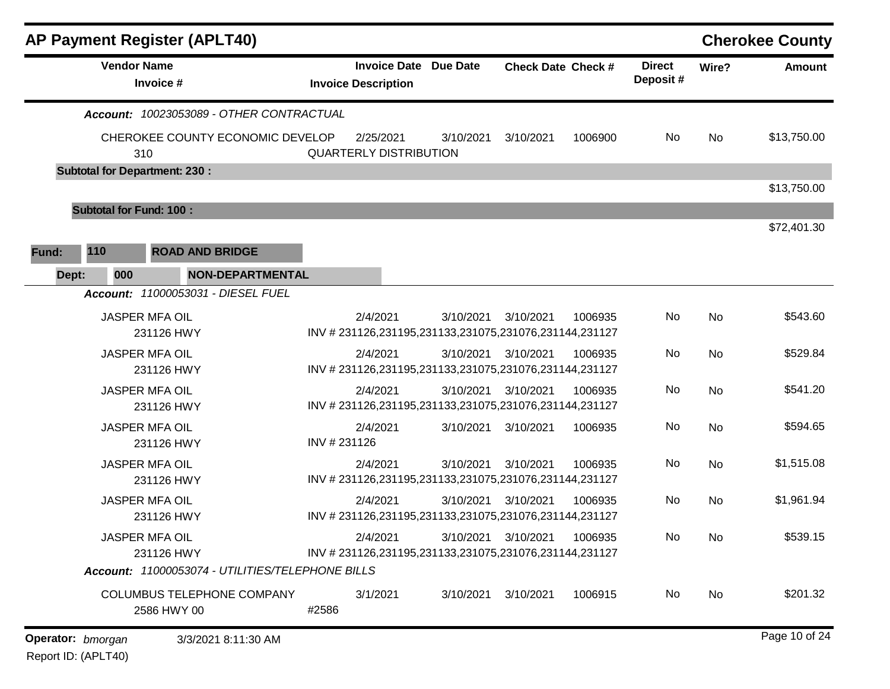| <b>AP Payment Register (APLT40)</b>              |             |                                                                   |           |                           |         |                           |           | <b>Cherokee County</b> |
|--------------------------------------------------|-------------|-------------------------------------------------------------------|-----------|---------------------------|---------|---------------------------|-----------|------------------------|
| <b>Vendor Name</b><br>Invoice #                  |             | <b>Invoice Date Due Date</b><br><b>Invoice Description</b>        |           | <b>Check Date Check #</b> |         | <b>Direct</b><br>Deposit# | Wire?     | <b>Amount</b>          |
| Account: 10023053089 - OTHER CONTRACTUAL         |             |                                                                   |           |                           |         |                           |           |                        |
| CHEROKEE COUNTY ECONOMIC DEVELOP<br>310          |             | 2/25/2021<br><b>QUARTERLY DISTRIBUTION</b>                        | 3/10/2021 | 3/10/2021                 | 1006900 | No                        | No        | \$13,750.00            |
| <b>Subtotal for Department: 230:</b>             |             |                                                                   |           |                           |         |                           |           |                        |
|                                                  |             |                                                                   |           |                           |         |                           |           | \$13,750.00            |
| <b>Subtotal for Fund: 100:</b>                   |             |                                                                   |           |                           |         |                           |           |                        |
|                                                  |             |                                                                   |           |                           |         |                           |           | \$72,401.30            |
| 110<br><b>ROAD AND BRIDGE</b><br>Fund:           |             |                                                                   |           |                           |         |                           |           |                        |
| 000<br><b>NON-DEPARTMENTAL</b><br>Dept:          |             |                                                                   |           |                           |         |                           |           |                        |
| Account: 11000053031 - DIESEL FUEL               |             |                                                                   |           |                           |         |                           |           |                        |
| JASPER MFA OIL<br>231126 HWY                     |             | 2/4/2021<br>INV #231126,231195,231133,231075,231076,231144,231127 | 3/10/2021 | 3/10/2021                 | 1006935 | No                        | <b>No</b> | \$543.60               |
| <b>JASPER MFA OIL</b><br>231126 HWY              |             | 2/4/2021<br>INV #231126,231195,231133,231075,231076,231144,231127 | 3/10/2021 | 3/10/2021                 | 1006935 | No                        | <b>No</b> | \$529.84               |
| JASPER MFA OIL<br>231126 HWY                     |             | 2/4/2021<br>INV #231126,231195,231133,231075,231076,231144,231127 | 3/10/2021 | 3/10/2021                 | 1006935 | No                        | <b>No</b> | \$541.20               |
| <b>JASPER MFA OIL</b><br>231126 HWY              | INV #231126 | 2/4/2021                                                          | 3/10/2021 | 3/10/2021                 | 1006935 | No                        | No        | \$594.65               |
| <b>JASPER MFA OIL</b><br>231126 HWY              |             | 2/4/2021<br>INV #231126,231195,231133,231075,231076,231144,231127 | 3/10/2021 | 3/10/2021                 | 1006935 | No                        | No        | \$1,515.08             |
| JASPER MFA OIL<br>231126 HWY                     |             | 2/4/2021<br>INV #231126,231195,231133,231075,231076,231144,231127 |           | 3/10/2021 3/10/2021       | 1006935 | No                        | No        | \$1,961.94             |
| <b>JASPER MFA OIL</b><br>231126 HWY              |             | 2/4/2021<br>INV #231126,231195,231133,231075,231076,231144,231127 |           | 3/10/2021 3/10/2021       | 1006935 | No                        | No        | \$539.15               |
| Account: 11000053074 - UTILITIES/TELEPHONE BILLS |             |                                                                   |           |                           |         |                           |           |                        |
| <b>COLUMBUS TELEPHONE COMPANY</b><br>2586 HWY 00 | #2586       | 3/1/2021                                                          | 3/10/2021 | 3/10/2021                 | 1006915 | No                        | No        | \$201.32               |
| Operator: bmorgan<br>3/3/2021 8:11:30 AM         |             |                                                                   |           |                           |         |                           |           | Page 10 of 24          |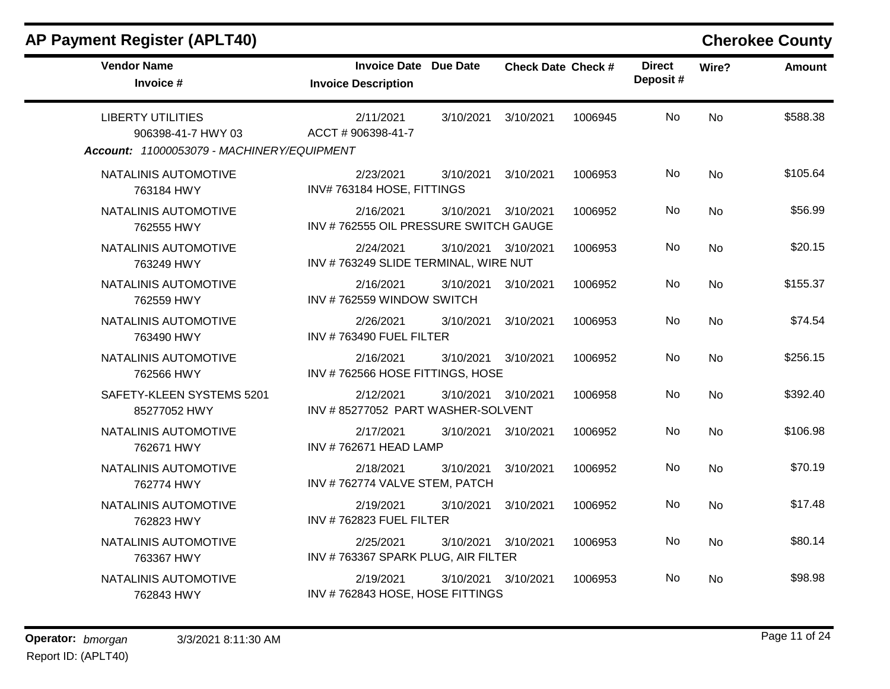| <b>Vendor Name</b><br>Invoice #                                                              | <b>Invoice Date Due Date</b><br><b>Invoice Description</b> |           | <b>Check Date Check #</b> |         | <b>Direct</b><br>Deposit# | Wire?     | <b>Amount</b> |
|----------------------------------------------------------------------------------------------|------------------------------------------------------------|-----------|---------------------------|---------|---------------------------|-----------|---------------|
| <b>LIBERTY UTILITIES</b><br>906398-41-7 HWY 03<br>Account: 11000053079 - MACHINERY/EQUIPMENT | 2/11/2021<br>ACCT # 906398-41-7                            | 3/10/2021 | 3/10/2021                 | 1006945 | No                        | <b>No</b> | \$588.38      |
| NATALINIS AUTOMOTIVE<br>763184 HWY                                                           | 2/23/2021<br>INV#763184 HOSE, FITTINGS                     | 3/10/2021 | 3/10/2021                 | 1006953 | No                        | <b>No</b> | \$105.64      |
| NATALINIS AUTOMOTIVE<br>762555 HWY                                                           | 2/16/2021<br>INV #762555 OIL PRESSURE SWITCH GAUGE         | 3/10/2021 | 3/10/2021                 | 1006952 | No                        | <b>No</b> | \$56.99       |
| NATALINIS AUTOMOTIVE<br>763249 HWY                                                           | 2/24/2021<br>INV #763249 SLIDE TERMINAL, WIRE NUT          | 3/10/2021 | 3/10/2021                 | 1006953 | <b>No</b>                 | No        | \$20.15       |
| NATALINIS AUTOMOTIVE<br>762559 HWY                                                           | 2/16/2021<br>INV #762559 WINDOW SWITCH                     | 3/10/2021 | 3/10/2021                 | 1006952 | No                        | <b>No</b> | \$155.37      |
| NATALINIS AUTOMOTIVE<br>763490 HWY                                                           | 2/26/2021<br>INV #763490 FUEL FILTER                       | 3/10/2021 | 3/10/2021                 | 1006953 | No                        | <b>No</b> | \$74.54       |
| NATALINIS AUTOMOTIVE<br>762566 HWY                                                           | 2/16/2021<br>INV #762566 HOSE FITTINGS, HOSE               | 3/10/2021 | 3/10/2021                 | 1006952 | No.                       | <b>No</b> | \$256.15      |
| SAFETY-KLEEN SYSTEMS 5201<br>85277052 HWY                                                    | 2/12/2021<br>INV #85277052 PART WASHER-SOLVENT             | 3/10/2021 | 3/10/2021                 | 1006958 | No                        | No        | \$392.40      |
| NATALINIS AUTOMOTIVE<br>762671 HWY                                                           | 2/17/2021<br>INV #762671 HEAD LAMP                         | 3/10/2021 | 3/10/2021                 | 1006952 | No.                       | <b>No</b> | \$106.98      |
| NATALINIS AUTOMOTIVE<br>762774 HWY                                                           | 2/18/2021<br>INV #762774 VALVE STEM, PATCH                 | 3/10/2021 | 3/10/2021                 | 1006952 | No                        | No        | \$70.19       |
| NATALINIS AUTOMOTIVE<br>762823 HWY                                                           | 2/19/2021<br>INV #762823 FUEL FILTER                       | 3/10/2021 | 3/10/2021                 | 1006952 | No                        | <b>No</b> | \$17.48       |
| NATALINIS AUTOMOTIVE<br>763367 HWY                                                           | 2/25/2021<br>INV #763367 SPARK PLUG, AIR FILTER            | 3/10/2021 | 3/10/2021                 | 1006953 | No                        | <b>No</b> | \$80.14       |
| NATALINIS AUTOMOTIVE<br>762843 HWY                                                           | 2/19/2021<br>INV #762843 HOSE, HOSE FITTINGS               | 3/10/2021 | 3/10/2021                 | 1006953 | No.                       | No        | \$98.98       |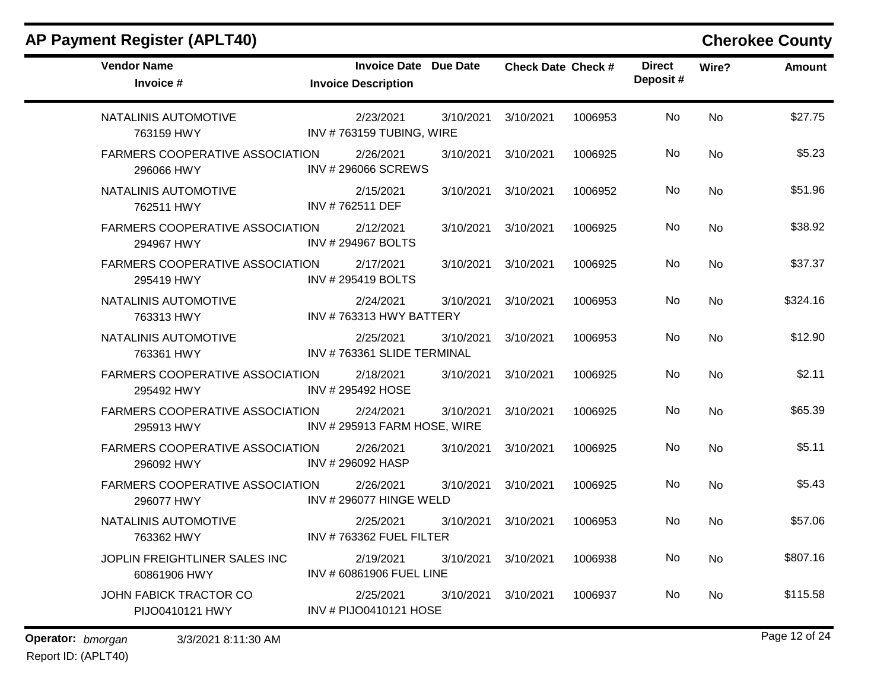| <b>AP Payment Register (APLT40)</b>                  |                                                   |                 |                           |         |                           |           | <b>Cherokee County</b> |
|------------------------------------------------------|---------------------------------------------------|-----------------|---------------------------|---------|---------------------------|-----------|------------------------|
| <b>Vendor Name</b><br>Invoice #                      | <b>Invoice Date</b><br><b>Invoice Description</b> | <b>Due Date</b> | <b>Check Date Check #</b> |         | <b>Direct</b><br>Deposit# | Wire?     | <b>Amount</b>          |
| NATALINIS AUTOMOTIVE<br>763159 HWY                   | 2/23/2021<br>INV #763159 TUBING, WIRE             | 3/10/2021       | 3/10/2021                 | 1006953 | No                        | No        | \$27.75                |
| <b>FARMERS COOPERATIVE ASSOCIATION</b><br>296066 HWY | 2/26/2021<br><b>INV #296066 SCREWS</b>            | 3/10/2021       | 3/10/2021                 | 1006925 | No                        | No        | \$5.23                 |
| NATALINIS AUTOMOTIVE<br>762511 HWY                   | 2/15/2021<br>INV #762511 DEF                      | 3/10/2021       | 3/10/2021                 | 1006952 | No                        | No        | \$51.96                |
| <b>FARMERS COOPERATIVE ASSOCIATION</b><br>294967 HWY | 2/12/2021<br>INV #294967 BOLTS                    | 3/10/2021       | 3/10/2021                 | 1006925 | No                        | No        | \$38.92                |
| <b>FARMERS COOPERATIVE ASSOCIATION</b><br>295419 HWY | 2/17/2021<br>INV # 295419 BOLTS                   | 3/10/2021       | 3/10/2021                 | 1006925 | No                        | No        | \$37.37                |
| NATALINIS AUTOMOTIVE<br>763313 HWY                   | 2/24/2021<br>INV #763313 HWY BATTERY              | 3/10/2021       | 3/10/2021                 | 1006953 | No                        | No        | \$324.16               |
| NATALINIS AUTOMOTIVE<br>763361 HWY                   | 2/25/2021<br>INV #763361 SLIDE TERMINAL           | 3/10/2021       | 3/10/2021                 | 1006953 | No                        | <b>No</b> | \$12.90                |
| <b>FARMERS COOPERATIVE ASSOCIATION</b><br>295492 HWY | 2/18/2021<br>INV #295492 HOSE                     | 3/10/2021       | 3/10/2021                 | 1006925 | No                        | <b>No</b> | \$2.11                 |
| <b>FARMERS COOPERATIVE ASSOCIATION</b><br>295913 HWY | 2/24/2021<br>INV #295913 FARM HOSE, WIRE          | 3/10/2021       | 3/10/2021                 | 1006925 | No                        | No        | \$65.39                |
| <b>FARMERS COOPERATIVE ASSOCIATION</b><br>296092 HWY | 2/26/2021<br>INV #296092 HASP                     | 3/10/2021       | 3/10/2021                 | 1006925 | No                        | No        | \$5.11                 |
| FARMERS COOPERATIVE ASSOCIATION<br>296077 HWY        | 2/26/2021<br><b>INV #296077 HINGE WELD</b>        | 3/10/2021       | 3/10/2021                 | 1006925 | No                        | No        | \$5.43                 |
| NATALINIS AUTOMOTIVE<br>763362 HWY                   | 2/25/2021<br>INV #763362 FUEL FILTER              | 3/10/2021       | 3/10/2021                 | 1006953 | No                        | No        | \$57.06                |
| JOPLIN FREIGHTLINER SALES INC<br>60861906 HWY        | 2/19/2021<br>INV # 60861906 FUEL LINE             |                 | 3/10/2021 3/10/2021       | 1006938 | No                        | No        | \$807.16               |
| JOHN FABICK TRACTOR CO<br>PIJO0410121 HWY            | 2/25/2021<br>INV # PIJO0410121 HOSE               | 3/10/2021       | 3/10/2021                 | 1006937 | No                        | No        | \$115.58               |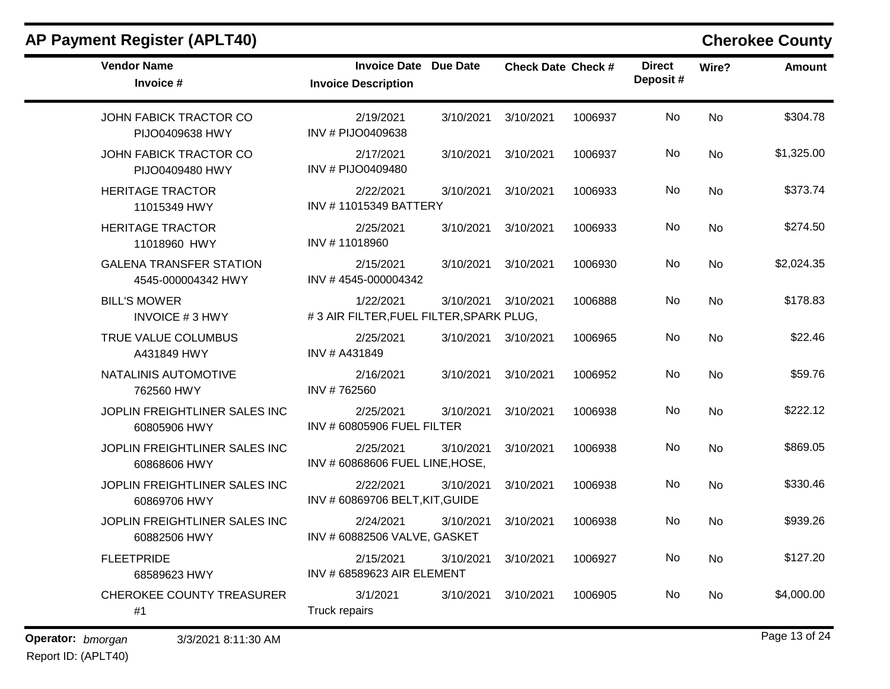| <b>AP Payment Register (APLT40)</b>                  |                                                      |                 |                           |         |                           |           | <b>Cherokee County</b> |
|------------------------------------------------------|------------------------------------------------------|-----------------|---------------------------|---------|---------------------------|-----------|------------------------|
| <b>Vendor Name</b><br>Invoice #                      | <b>Invoice Date</b><br><b>Invoice Description</b>    | <b>Due Date</b> | <b>Check Date Check #</b> |         | <b>Direct</b><br>Deposit# | Wire?     | <b>Amount</b>          |
| JOHN FABICK TRACTOR CO<br>PIJO0409638 HWY            | 2/19/2021<br>INV # PIJO0409638                       | 3/10/2021       | 3/10/2021                 | 1006937 | No                        | <b>No</b> | \$304.78               |
| JOHN FABICK TRACTOR CO<br>PIJO0409480 HWY            | 2/17/2021<br>INV # PIJO0409480                       | 3/10/2021       | 3/10/2021                 | 1006937 | No                        | No        | \$1,325.00             |
| <b>HERITAGE TRACTOR</b><br>11015349 HWY              | 2/22/2021<br>INV #11015349 BATTERY                   | 3/10/2021       | 3/10/2021                 | 1006933 | No                        | No        | \$373.74               |
| <b>HERITAGE TRACTOR</b><br>11018960 HWY              | 2/25/2021<br>INV #11018960                           | 3/10/2021       | 3/10/2021                 | 1006933 | No                        | No        | \$274.50               |
| <b>GALENA TRANSFER STATION</b><br>4545-000004342 HWY | 2/15/2021<br>INV #4545-000004342                     | 3/10/2021       | 3/10/2021                 | 1006930 | No                        | No        | \$2,024.35             |
| <b>BILL'S MOWER</b><br><b>INVOICE #3 HWY</b>         | 1/22/2021<br>#3 AIR FILTER, FUEL FILTER, SPARK PLUG, | 3/10/2021       | 3/10/2021                 | 1006888 | No                        | No        | \$178.83               |
| TRUE VALUE COLUMBUS<br>A431849 HWY                   | 2/25/2021<br>INV # A431849                           | 3/10/2021       | 3/10/2021                 | 1006965 | No                        | No        | \$22.46                |
| NATALINIS AUTOMOTIVE<br>762560 HWY                   | 2/16/2021<br>INV #762560                             | 3/10/2021       | 3/10/2021                 | 1006952 | No                        | No        | \$59.76                |
| JOPLIN FREIGHTLINER SALES INC<br>60805906 HWY        | 2/25/2021<br>INV # 60805906 FUEL FILTER              | 3/10/2021       | 3/10/2021                 | 1006938 | No                        | No        | \$222.12               |
| JOPLIN FREIGHTLINER SALES INC<br>60868606 HWY        | 2/25/2021<br>INV # 60868606 FUEL LINE, HOSE,         | 3/10/2021       | 3/10/2021                 | 1006938 | No                        | No        | \$869.05               |
| JOPLIN FREIGHTLINER SALES INC<br>60869706 HWY        | 2/22/2021<br>INV #60869706 BELT, KIT, GUIDE          | 3/10/2021       | 3/10/2021                 | 1006938 | No                        | No        | \$330.46               |
| JOPLIN FREIGHTLINER SALES INC<br>60882506 HWY        | 2/24/2021<br>INV # 60882506 VALVE, GASKET            | 3/10/2021       | 3/10/2021                 | 1006938 | No.                       | No.       | \$939.26               |
| <b>FLEETPRIDE</b><br>68589623 HWY                    | 2/15/2021<br>INV # 68589623 AIR ELEMENT              | 3/10/2021       | 3/10/2021                 | 1006927 | No                        | No        | \$127.20               |
| <b>CHEROKEE COUNTY TREASURER</b><br>#1               | 3/1/2021<br>Truck repairs                            | 3/10/2021       | 3/10/2021                 | 1006905 | No                        | No        | \$4,000.00             |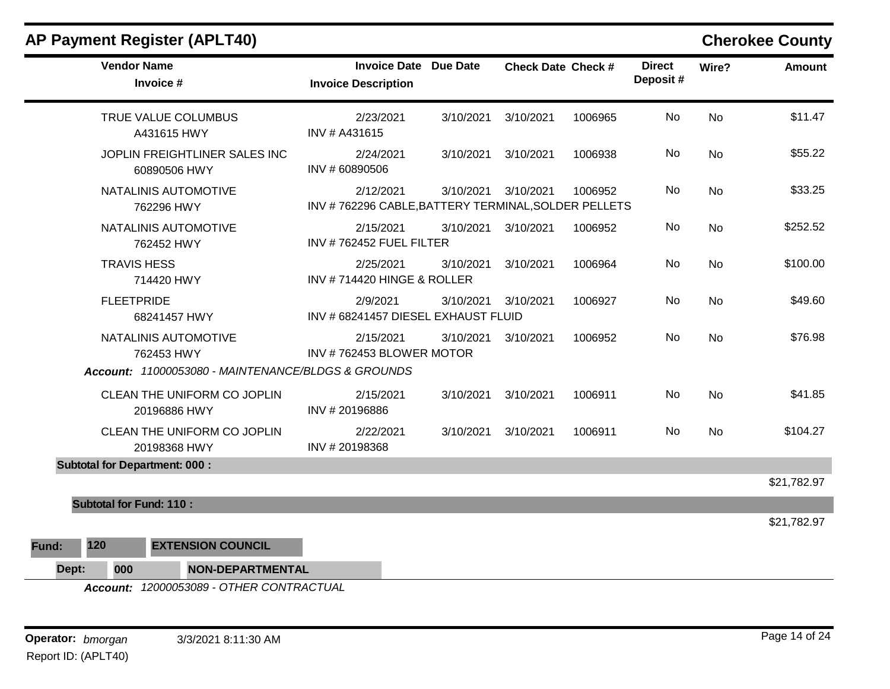| <b>Vendor Name</b><br>Invoice #                    | <b>Invoice Date Due Date</b><br><b>Invoice Description</b>       |           | <b>Check Date Check #</b> |         | <b>Direct</b><br>Deposit# | Wire?     | <b>Amount</b> |
|----------------------------------------------------|------------------------------------------------------------------|-----------|---------------------------|---------|---------------------------|-----------|---------------|
| TRUE VALUE COLUMBUS<br>A431615 HWY                 | 2/23/2021<br>INV # A431615                                       | 3/10/2021 | 3/10/2021                 | 1006965 | No                        | <b>No</b> | \$11.47       |
| JOPLIN FREIGHTLINER SALES INC<br>60890506 HWY      | 2/24/2021<br>INV #60890506                                       | 3/10/2021 | 3/10/2021                 | 1006938 | No                        | <b>No</b> | \$55.22       |
| NATALINIS AUTOMOTIVE<br>762296 HWY                 | 2/12/2021<br>INV #762296 CABLE, BATTERY TERMINAL, SOLDER PELLETS | 3/10/2021 | 3/10/2021                 | 1006952 | No                        | <b>No</b> | \$33.25       |
| NATALINIS AUTOMOTIVE<br>762452 HWY                 | 2/15/2021<br>INV #762452 FUEL FILTER                             | 3/10/2021 | 3/10/2021                 | 1006952 | No                        | No        | \$252.52      |
| <b>TRAVIS HESS</b><br>714420 HWY                   | 2/25/2021<br>INV #714420 HINGE & ROLLER                          | 3/10/2021 | 3/10/2021                 | 1006964 | No                        | <b>No</b> | \$100.00      |
| <b>FLEETPRIDE</b><br>68241457 HWY                  | 2/9/2021<br>INV # 68241457 DIESEL EXHAUST FLUID                  | 3/10/2021 | 3/10/2021                 | 1006927 | No                        | <b>No</b> | \$49.60       |
| NATALINIS AUTOMOTIVE<br>762453 HWY                 | 2/15/2021<br>INV #762453 BLOWER MOTOR                            | 3/10/2021 | 3/10/2021                 | 1006952 | No                        | <b>No</b> | \$76.98       |
| Account: 11000053080 - MAINTENANCE/BLDGS & GROUNDS |                                                                  |           |                           |         |                           |           |               |
| CLEAN THE UNIFORM CO JOPLIN<br>20196886 HWY        | 2/15/2021<br>INV #20196886                                       | 3/10/2021 | 3/10/2021                 | 1006911 | No                        | No        | \$41.85       |
| CLEAN THE UNIFORM CO JOPLIN<br>20198368 HWY        | 2/22/2021<br>INV #20198368                                       | 3/10/2021 | 3/10/2021                 | 1006911 | No                        | No        | \$104.27      |
| <b>Subtotal for Department: 000:</b>               |                                                                  |           |                           |         |                           |           |               |
|                                                    |                                                                  |           |                           |         |                           |           | \$21,782.97   |
| <b>Subtotal for Fund: 110:</b>                     |                                                                  |           |                           |         |                           |           |               |
|                                                    |                                                                  |           |                           |         |                           |           | \$21,782.97   |
| 120<br><b>EXTENSION COUNCIL</b><br>Fund:           |                                                                  |           |                           |         |                           |           |               |
| <b>NON-DEPARTMENTAL</b><br>Dept:<br>000            |                                                                  |           |                           |         |                           |           |               |
| Account: 12000052090 OTHER CONTRACTUM              |                                                                  |           |                           |         |                           |           |               |

*Account: 12000053089 - OTHER CONTRACTUAL*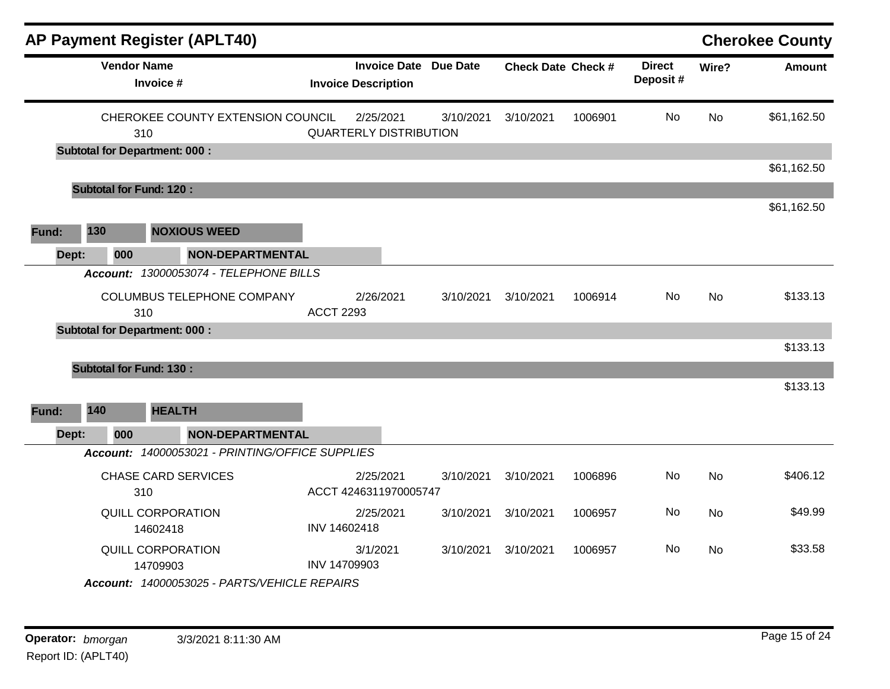|       | <b>AP Payment Register (APLT40)</b>  |                                                 |                  |                                                            |           |                           |         |                            |           | <b>Cherokee County</b> |
|-------|--------------------------------------|-------------------------------------------------|------------------|------------------------------------------------------------|-----------|---------------------------|---------|----------------------------|-----------|------------------------|
|       | <b>Vendor Name</b><br>Invoice #      |                                                 |                  | <b>Invoice Date Due Date</b><br><b>Invoice Description</b> |           | <b>Check Date Check #</b> |         | <b>Direct</b><br>Deposit # | Wire?     | <b>Amount</b>          |
|       | 310                                  | CHEROKEE COUNTY EXTENSION COUNCIL               |                  | 2/25/2021<br><b>QUARTERLY DISTRIBUTION</b>                 | 3/10/2021 | 3/10/2021                 | 1006901 | No                         | <b>No</b> | \$61,162.50            |
|       | <b>Subtotal for Department: 000:</b> |                                                 |                  |                                                            |           |                           |         |                            |           |                        |
|       |                                      |                                                 |                  |                                                            |           |                           |         |                            |           | \$61,162.50            |
|       | <b>Subtotal for Fund: 120:</b>       |                                                 |                  |                                                            |           |                           |         |                            |           | \$61,162.50            |
|       |                                      |                                                 |                  |                                                            |           |                           |         |                            |           |                        |
| Fund: | 130                                  | <b>NOXIOUS WEED</b>                             |                  |                                                            |           |                           |         |                            |           |                        |
| Dept: | 000                                  | <b>NON-DEPARTMENTAL</b>                         |                  |                                                            |           |                           |         |                            |           |                        |
|       |                                      | Account: 13000053074 - TELEPHONE BILLS          |                  |                                                            |           |                           |         |                            |           |                        |
|       |                                      | COLUMBUS TELEPHONE COMPANY                      |                  | 2/26/2021                                                  | 3/10/2021 | 3/10/2021                 | 1006914 | No.                        | <b>No</b> | \$133.13               |
|       | 310                                  |                                                 | <b>ACCT 2293</b> |                                                            |           |                           |         |                            |           |                        |
|       | <b>Subtotal for Department: 000:</b> |                                                 |                  |                                                            |           |                           |         |                            |           | \$133.13               |
|       | <b>Subtotal for Fund: 130:</b>       |                                                 |                  |                                                            |           |                           |         |                            |           |                        |
|       |                                      |                                                 |                  |                                                            |           |                           |         |                            |           | \$133.13               |
| Fund: | 140                                  | <b>HEALTH</b>                                   |                  |                                                            |           |                           |         |                            |           |                        |
|       | 000                                  | <b>NON-DEPARTMENTAL</b>                         |                  |                                                            |           |                           |         |                            |           |                        |
| Dept: |                                      | Account: 14000053021 - PRINTING/OFFICE SUPPLIES |                  |                                                            |           |                           |         |                            |           |                        |
|       |                                      |                                                 |                  |                                                            |           |                           |         |                            |           | \$406.12               |
|       | <b>CHASE CARD SERVICES</b><br>310    |                                                 |                  | 2/25/2021<br>ACCT 4246311970005747                         | 3/10/2021 | 3/10/2021                 | 1006896 | No.                        | <b>No</b> |                        |
|       | QUILL CORPORATION<br>14602418        |                                                 | INV 14602418     | 2/25/2021                                                  | 3/10/2021 | 3/10/2021                 | 1006957 | No                         | No        | \$49.99                |
|       | QUILL CORPORATION<br>14709903        |                                                 | INV 14709903     | 3/1/2021                                                   | 3/10/2021 | 3/10/2021                 | 1006957 | No                         | <b>No</b> | \$33.58                |
|       |                                      | Account: 14000053025 - PARTS/VEHICLE REPAIRS    |                  |                                                            |           |                           |         |                            |           |                        |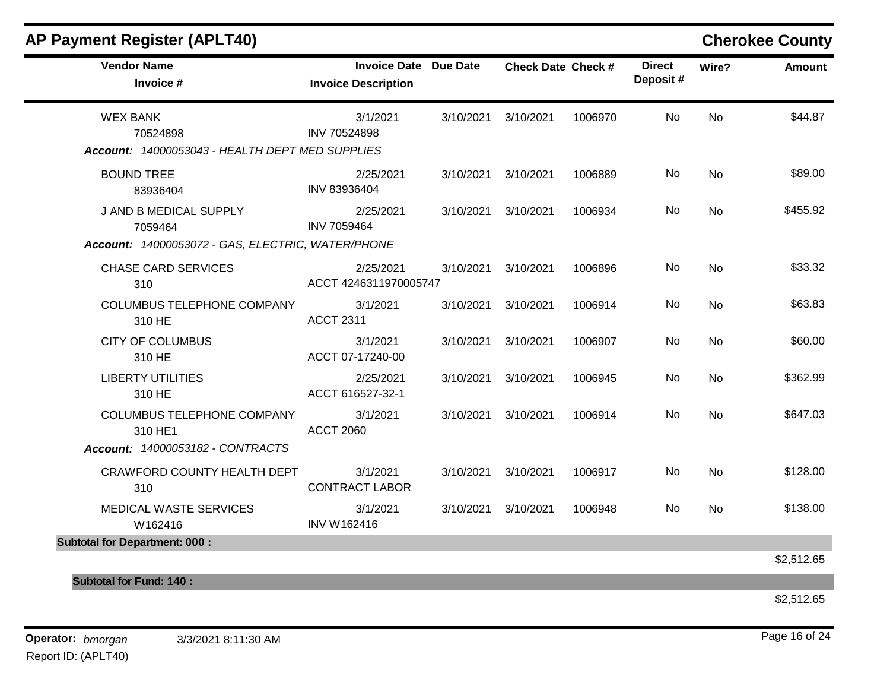| <b>Vendor Name</b><br>Invoice #                                                        | <b>Invoice Date Due Date</b><br><b>Invoice Description</b> |           | <b>Check Date Check #</b> |         | <b>Direct</b><br>Deposit# | Wire?     | <b>Amount</b> |
|----------------------------------------------------------------------------------------|------------------------------------------------------------|-----------|---------------------------|---------|---------------------------|-----------|---------------|
| <b>WEX BANK</b><br>70524898<br>Account: 14000053043 - HEALTH DEPT MED SUPPLIES         | 3/1/2021<br>INV 70524898                                   |           | 3/10/2021 3/10/2021       | 1006970 | No.                       | <b>No</b> | \$44.87       |
| <b>BOUND TREE</b><br>83936404                                                          | 2/25/2021<br>INV 83936404                                  |           | 3/10/2021 3/10/2021       | 1006889 | No                        | No        | \$89.00       |
| J AND B MEDICAL SUPPLY<br>7059464<br>Account: 14000053072 - GAS, ELECTRIC, WATER/PHONE | 2/25/2021<br><b>INV 7059464</b>                            |           | 3/10/2021 3/10/2021       | 1006934 | <b>No</b>                 | <b>No</b> | \$455.92      |
| <b>CHASE CARD SERVICES</b><br>310                                                      | 2/25/2021<br>ACCT 4246311970005747                         |           | 3/10/2021 3/10/2021       | 1006896 | No                        | <b>No</b> | \$33.32       |
| <b>COLUMBUS TELEPHONE COMPANY</b><br>310 HE                                            | 3/1/2021<br><b>ACCT 2311</b>                               |           | 3/10/2021 3/10/2021       | 1006914 | No.                       | No        | \$63.83       |
| <b>CITY OF COLUMBUS</b><br>310 HE                                                      | 3/1/2021<br>ACCT 07-17240-00                               | 3/10/2021 | 3/10/2021                 | 1006907 | No                        | <b>No</b> | \$60.00       |
| <b>LIBERTY UTILITIES</b><br>310 HE                                                     | 2/25/2021<br>ACCT 616527-32-1                              |           | 3/10/2021 3/10/2021       | 1006945 | No                        | No        | \$362.99      |
| <b>COLUMBUS TELEPHONE COMPANY</b><br>310 HE1<br>Account: 14000053182 - CONTRACTS       | 3/1/2021<br><b>ACCT 2060</b>                               |           | 3/10/2021 3/10/2021       | 1006914 | No.                       | <b>No</b> | \$647.03      |
| CRAWFORD COUNTY HEALTH DEPT<br>310                                                     | 3/1/2021<br><b>CONTRACT LABOR</b>                          | 3/10/2021 | 3/10/2021                 | 1006917 | No                        | <b>No</b> | \$128.00      |
| MEDICAL WASTE SERVICES<br>W162416                                                      | 3/1/2021<br><b>INV W162416</b>                             |           | 3/10/2021 3/10/2021       | 1006948 | No                        | No        | \$138.00      |
| <b>Subtotal for Department: 000:</b>                                                   |                                                            |           |                           |         |                           |           |               |
|                                                                                        |                                                            |           |                           |         |                           |           | \$2,512.65    |

\$2,512.65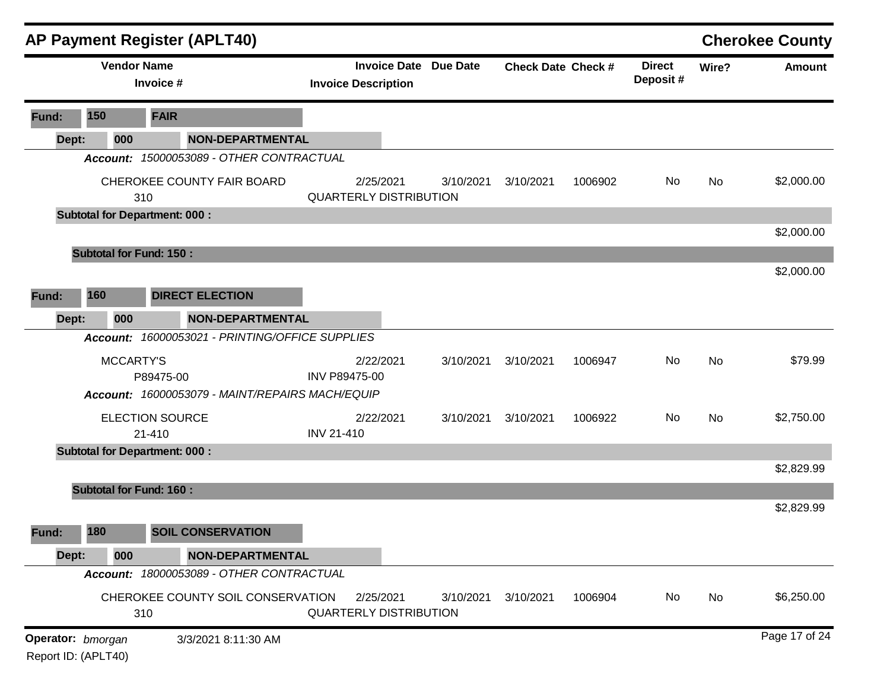|                                          |     |                  | <b>AP Payment Register (APLT40)</b>                          |                      |                                                            |           |                           |         |                           |       | <b>Cherokee County</b> |
|------------------------------------------|-----|------------------|--------------------------------------------------------------|----------------------|------------------------------------------------------------|-----------|---------------------------|---------|---------------------------|-------|------------------------|
|                                          |     |                  | <b>Vendor Name</b><br>Invoice #                              |                      | <b>Invoice Date Due Date</b><br><b>Invoice Description</b> |           | <b>Check Date Check #</b> |         | <b>Direct</b><br>Deposit# | Wire? | <b>Amount</b>          |
| Fund:                                    | 150 |                  | <b>FAIR</b>                                                  |                      |                                                            |           |                           |         |                           |       |                        |
| Dept:                                    |     | 000              | <b>NON-DEPARTMENTAL</b>                                      |                      |                                                            |           |                           |         |                           |       |                        |
|                                          |     |                  | Account: 15000053089 - OTHER CONTRACTUAL                     |                      |                                                            |           |                           |         |                           |       |                        |
|                                          |     |                  | CHEROKEE COUNTY FAIR BOARD<br>310                            |                      | 2/25/2021<br><b>QUARTERLY DISTRIBUTION</b>                 | 3/10/2021 | 3/10/2021                 | 1006902 | No                        | No    | \$2,000.00             |
|                                          |     |                  | <b>Subtotal for Department: 000:</b>                         |                      |                                                            |           |                           |         |                           |       |                        |
|                                          |     |                  |                                                              |                      |                                                            |           |                           |         |                           |       | \$2,000.00             |
|                                          |     |                  | <b>Subtotal for Fund: 150:</b>                               |                      |                                                            |           |                           |         |                           |       |                        |
| Fund:                                    | 160 |                  | <b>DIRECT ELECTION</b>                                       |                      |                                                            |           |                           |         |                           |       | \$2,000.00             |
| Dept:                                    |     | 000              | <b>NON-DEPARTMENTAL</b>                                      |                      |                                                            |           |                           |         |                           |       |                        |
|                                          |     |                  | Account: 16000053021 - PRINTING/OFFICE SUPPLIES              |                      |                                                            |           |                           |         |                           |       |                        |
|                                          |     | <b>MCCARTY'S</b> | P89475-00<br>Account: 16000053079 - MAINT/REPAIRS MACH/EQUIP | <b>INV P89475-00</b> | 2/22/2021                                                  | 3/10/2021 | 3/10/2021                 | 1006947 | No                        | No    | \$79.99                |
|                                          |     |                  | <b>ELECTION SOURCE</b><br>21-410                             | INV 21-410           | 2/22/2021                                                  | 3/10/2021 | 3/10/2021                 | 1006922 | No                        | No    | \$2,750.00             |
|                                          |     |                  | <b>Subtotal for Department: 000:</b>                         |                      |                                                            |           |                           |         |                           |       |                        |
|                                          |     |                  |                                                              |                      |                                                            |           |                           |         |                           |       | \$2,829.99             |
|                                          |     |                  | <b>Subtotal for Fund: 160:</b>                               |                      |                                                            |           |                           |         |                           |       |                        |
|                                          |     |                  |                                                              |                      |                                                            |           |                           |         |                           |       | \$2,829.99             |
| Fund:                                    | 180 |                  | <b>SOIL CONSERVATION</b>                                     |                      |                                                            |           |                           |         |                           |       |                        |
| Dept:                                    |     | 000              | <b>NON-DEPARTMENTAL</b>                                      |                      |                                                            |           |                           |         |                           |       |                        |
|                                          |     |                  | Account: 18000053089 - OTHER CONTRACTUAL                     |                      |                                                            |           |                           |         |                           |       |                        |
|                                          |     |                  | CHEROKEE COUNTY SOIL CONSERVATION<br>310                     |                      | 2/25/2021<br><b>QUARTERLY DISTRIBUTION</b>                 | 3/10/2021 | 3/10/2021                 | 1006904 | No                        | No    | \$6,250.00             |
| Operator: bmorgan<br>Report ID: (APLT40) |     |                  | 3/3/2021 8:11:30 AM                                          |                      |                                                            |           |                           |         |                           |       | Page 17 of 24          |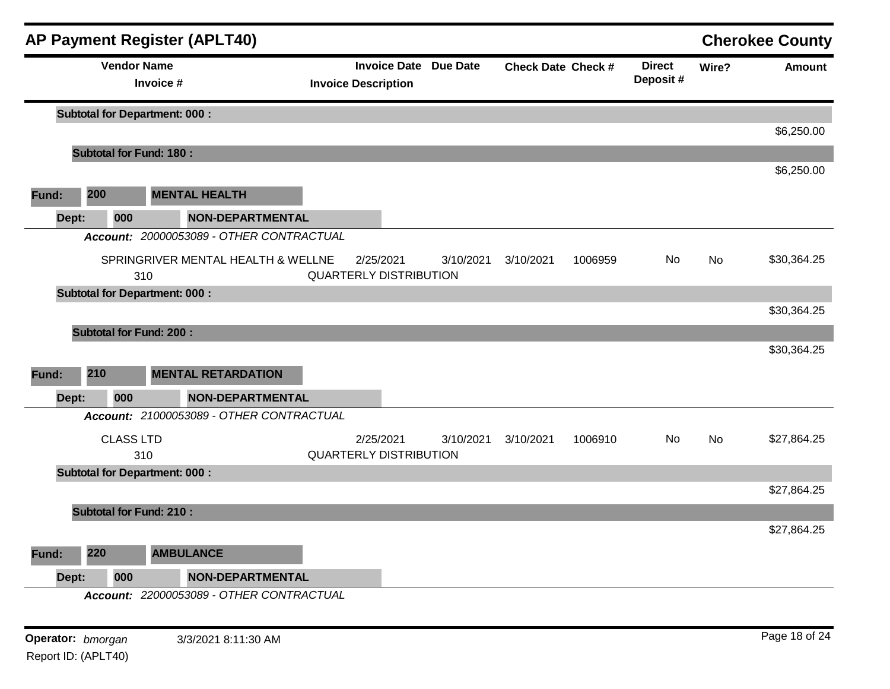|       |       |                         | <b>AP Payment Register (APLT40)</b>      |                                            |                              |           |                           |                           |           | <b>Cherokee County</b> |
|-------|-------|-------------------------|------------------------------------------|--------------------------------------------|------------------------------|-----------|---------------------------|---------------------------|-----------|------------------------|
|       |       | <b>Vendor Name</b>      | Invoice #                                | <b>Invoice Description</b>                 | <b>Invoice Date Due Date</b> |           | <b>Check Date Check #</b> | <b>Direct</b><br>Deposit# | Wire?     | <b>Amount</b>          |
|       |       |                         | <b>Subtotal for Department: 000:</b>     |                                            |                              |           |                           |                           |           |                        |
|       |       |                         |                                          |                                            |                              |           |                           |                           |           | \$6,250.00             |
|       |       |                         | <b>Subtotal for Fund: 180:</b>           |                                            |                              |           |                           |                           |           |                        |
| Fund: | 200   |                         | <b>MENTAL HEALTH</b>                     |                                            |                              |           |                           |                           |           | \$6,250.00             |
|       | Dept: | 000                     | <b>NON-DEPARTMENTAL</b>                  |                                            |                              |           |                           |                           |           |                        |
|       |       |                         | Account: 20000053089 - OTHER CONTRACTUAL |                                            |                              |           |                           |                           |           |                        |
|       |       | 310                     | SPRINGRIVER MENTAL HEALTH & WELLNE       | 2/25/2021<br><b>QUARTERLY DISTRIBUTION</b> | 3/10/2021                    | 3/10/2021 | 1006959                   | No                        | No        | \$30,364.25            |
|       |       |                         | <b>Subtotal for Department: 000:</b>     |                                            |                              |           |                           |                           |           |                        |
|       |       |                         |                                          |                                            |                              |           |                           |                           |           | \$30,364.25            |
|       |       |                         | <b>Subtotal for Fund: 200:</b>           |                                            |                              |           |                           |                           |           |                        |
|       |       |                         |                                          |                                            |                              |           |                           |                           |           | \$30,364.25            |
| Fund: | 210   |                         | <b>MENTAL RETARDATION</b>                |                                            |                              |           |                           |                           |           |                        |
|       | Dept: | 000                     | <b>NON-DEPARTMENTAL</b>                  |                                            |                              |           |                           |                           |           |                        |
|       |       |                         | Account: 21000053089 - OTHER CONTRACTUAL |                                            |                              |           |                           |                           |           |                        |
|       |       | <b>CLASS LTD</b><br>310 |                                          | 2/25/2021<br><b>QUARTERLY DISTRIBUTION</b> | 3/10/2021                    | 3/10/2021 | 1006910                   | No                        | <b>No</b> | \$27,864.25            |
|       |       |                         | <b>Subtotal for Department: 000:</b>     |                                            |                              |           |                           |                           |           |                        |
|       |       |                         |                                          |                                            |                              |           |                           |                           |           | \$27,864.25            |
|       |       |                         | <b>Subtotal for Fund: 210:</b>           |                                            |                              |           |                           |                           |           |                        |
|       |       |                         |                                          |                                            |                              |           |                           |                           |           | \$27,864.25            |
| Fund: | 220   |                         | <b>AMBULANCE</b>                         |                                            |                              |           |                           |                           |           |                        |
|       | Dept: | 000                     | <b>NON-DEPARTMENTAL</b>                  |                                            |                              |           |                           |                           |           |                        |
|       |       |                         | Account: 22000053089 - OTHER CONTRACTUAL |                                            |                              |           |                           |                           |           |                        |

**Operator:** bmorgan 3/3/2021 8:11:30 AM **big 24 big 24 big 24 big 24 big 24 big 24 big 24 big 24 big 24 big 24 big 24 big 24 big 24 big 24 big 24 big 24 big 24 big 24 big 24 big 24 b** Report ID: (APLT40)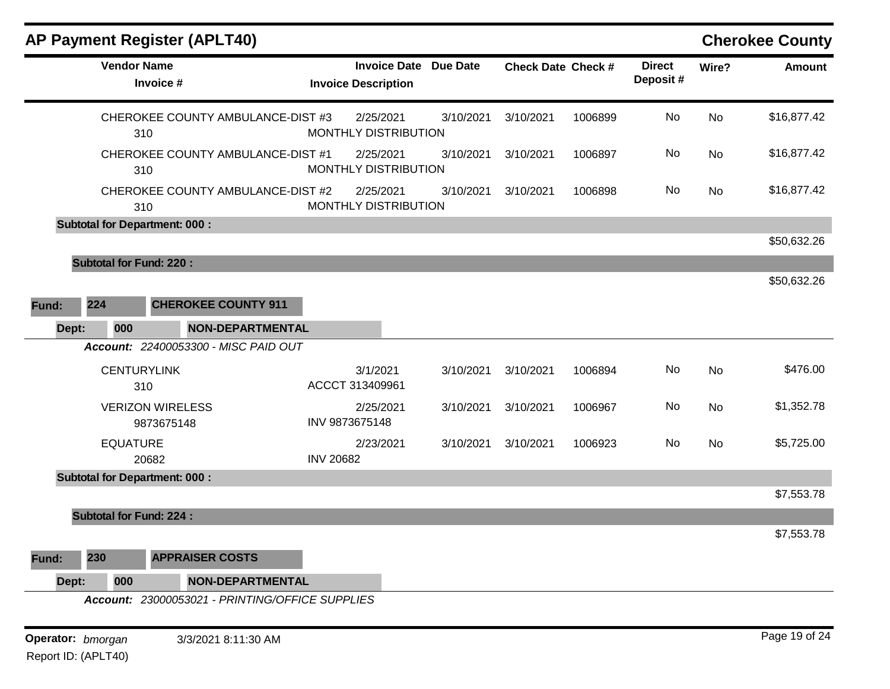|                   |     |                    | <b>AP Payment Register (APLT40)</b>             |                  |                                                            |           |                           |         |                           |           | <b>Cherokee County</b> |
|-------------------|-----|--------------------|-------------------------------------------------|------------------|------------------------------------------------------------|-----------|---------------------------|---------|---------------------------|-----------|------------------------|
|                   |     | <b>Vendor Name</b> | Invoice #                                       |                  | <b>Invoice Date Due Date</b><br><b>Invoice Description</b> |           | <b>Check Date Check #</b> |         | <b>Direct</b><br>Deposit# | Wire?     | <b>Amount</b>          |
|                   |     | 310                | CHEROKEE COUNTY AMBULANCE-DIST #3               |                  | 2/25/2021<br>MONTHLY DISTRIBUTION                          | 3/10/2021 | 3/10/2021                 | 1006899 | No                        | No        | \$16,877.42            |
|                   |     | 310                | CHEROKEE COUNTY AMBULANCE-DIST #1               |                  | 2/25/2021<br>MONTHLY DISTRIBUTION                          | 3/10/2021 | 3/10/2021                 | 1006897 | No                        | No        | \$16,877.42            |
|                   |     | 310                | CHEROKEE COUNTY AMBULANCE-DIST #2               |                  | 2/25/2021<br>MONTHLY DISTRIBUTION                          | 3/10/2021 | 3/10/2021                 | 1006898 | No                        | No        | \$16,877.42            |
|                   |     |                    | <b>Subtotal for Department: 000:</b>            |                  |                                                            |           |                           |         |                           |           |                        |
|                   |     |                    |                                                 |                  |                                                            |           |                           |         |                           |           | \$50,632.26            |
|                   |     |                    | <b>Subtotal for Fund: 220:</b>                  |                  |                                                            |           |                           |         |                           |           |                        |
|                   |     |                    |                                                 |                  |                                                            |           |                           |         |                           |           | \$50,632.26            |
| Fund:             | 224 |                    | <b>CHEROKEE COUNTY 911</b>                      |                  |                                                            |           |                           |         |                           |           |                        |
| Dept:             |     | 000                | <b>NON-DEPARTMENTAL</b>                         |                  |                                                            |           |                           |         |                           |           |                        |
|                   |     |                    | Account: 22400053300 - MISC PAID OUT            |                  |                                                            |           |                           |         |                           |           |                        |
|                   |     | 310                | <b>CENTURYLINK</b>                              |                  | 3/1/2021<br>ACCCT 313409961                                | 3/10/2021 | 3/10/2021                 | 1006894 | No                        | No        | \$476.00               |
|                   |     |                    | <b>VERIZON WIRELESS</b><br>9873675148           |                  | 2/25/2021<br>INV 9873675148                                | 3/10/2021 | 3/10/2021                 | 1006967 | <b>No</b>                 | <b>No</b> | \$1,352.78             |
|                   |     | <b>EQUATURE</b>    | 20682                                           | <b>INV 20682</b> | 2/23/2021                                                  | 3/10/2021 | 3/10/2021                 | 1006923 | <b>No</b>                 | No        | \$5,725.00             |
|                   |     |                    | <b>Subtotal for Department: 000:</b>            |                  |                                                            |           |                           |         |                           |           |                        |
|                   |     |                    |                                                 |                  |                                                            |           |                           |         |                           |           | \$7,553.78             |
|                   |     |                    | <b>Subtotal for Fund: 224:</b>                  |                  |                                                            |           |                           |         |                           |           |                        |
|                   |     |                    |                                                 |                  |                                                            |           |                           |         |                           |           | \$7,553.78             |
| Fund:             | 230 |                    | <b>APPRAISER COSTS</b>                          |                  |                                                            |           |                           |         |                           |           |                        |
| Dept:             |     | 000                | <b>NON-DEPARTMENTAL</b>                         |                  |                                                            |           |                           |         |                           |           |                        |
|                   |     |                    | Account: 23000053021 - PRINTING/OFFICE SUPPLIES |                  |                                                            |           |                           |         |                           |           |                        |
| Operator: bmorgan |     |                    | 3/3/2021 8:11:30 AM                             |                  |                                                            |           |                           |         |                           |           | Page 19 of 24          |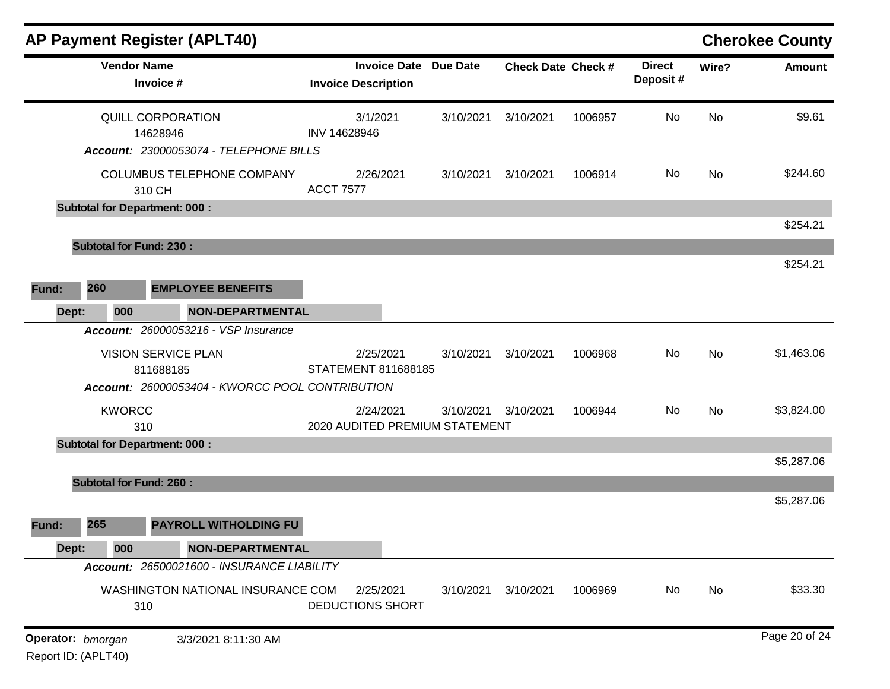|       |                                          | <b>AP Payment Register (APLT40)</b>                                     |                                             |                              |                           |         |                           |           | <b>Cherokee County</b> |
|-------|------------------------------------------|-------------------------------------------------------------------------|---------------------------------------------|------------------------------|---------------------------|---------|---------------------------|-----------|------------------------|
|       | <b>Vendor Name</b>                       | Invoice #                                                               | <b>Invoice Description</b>                  | <b>Invoice Date Due Date</b> | <b>Check Date Check #</b> |         | <b>Direct</b><br>Deposit# | Wire?     | <b>Amount</b>          |
|       |                                          | QUILL CORPORATION<br>14628946<br>Account: 23000053074 - TELEPHONE BILLS | 3/1/2021<br>INV 14628946                    | 3/10/2021                    | 3/10/2021                 | 1006957 | No                        | No        | \$9.61                 |
|       |                                          | COLUMBUS TELEPHONE COMPANY<br>310 CH                                    | 2/26/2021<br><b>ACCT 7577</b>               | 3/10/2021                    | 3/10/2021                 | 1006914 | No                        | <b>No</b> | \$244.60               |
|       |                                          | <b>Subtotal for Department: 000:</b>                                    |                                             |                              |                           |         |                           |           |                        |
|       |                                          |                                                                         |                                             |                              |                           |         |                           |           | \$254.21               |
|       | <b>Subtotal for Fund: 230:</b>           |                                                                         |                                             |                              |                           |         |                           |           | \$254.21               |
| Fund: | 260                                      | <b>EMPLOYEE BENEFITS</b>                                                |                                             |                              |                           |         |                           |           |                        |
| Dept: | 000                                      | <b>NON-DEPARTMENTAL</b>                                                 |                                             |                              |                           |         |                           |           |                        |
|       |                                          | <b>Account: 26000053216 - VSP Insurance</b>                             |                                             |                              |                           |         |                           |           |                        |
|       |                                          | <b>VISION SERVICE PLAN</b><br>811688185                                 | 2/25/2021<br>STATEMENT 811688185            | 3/10/2021                    | 3/10/2021                 | 1006968 | No                        | <b>No</b> | \$1,463.06             |
|       |                                          | Account: 26000053404 - KWORCC POOL CONTRIBUTION                         |                                             |                              |                           |         |                           |           |                        |
|       | <b>KWORCC</b>                            | 310                                                                     | 2/24/2021<br>2020 AUDITED PREMIUM STATEMENT | 3/10/2021                    | 3/10/2021                 | 1006944 | No                        | <b>No</b> | \$3,824.00             |
|       |                                          | <b>Subtotal for Department: 000:</b>                                    |                                             |                              |                           |         |                           |           |                        |
|       | <b>Subtotal for Fund: 260:</b>           |                                                                         |                                             |                              |                           |         |                           |           | \$5,287.06             |
|       |                                          |                                                                         |                                             |                              |                           |         |                           |           | \$5,287.06             |
| Fund: | 265                                      | <b>PAYROLL WITHOLDING FU</b>                                            |                                             |                              |                           |         |                           |           |                        |
| Dept: | 000                                      | <b>NON-DEPARTMENTAL</b>                                                 |                                             |                              |                           |         |                           |           |                        |
|       |                                          | Account: 26500021600 - INSURANCE LIABILITY                              |                                             |                              |                           |         |                           |           |                        |
|       |                                          | WASHINGTON NATIONAL INSURANCE COM<br>310                                | 2/25/2021<br><b>DEDUCTIONS SHORT</b>        | 3/10/2021                    | 3/10/2021                 | 1006969 | No                        | No        | \$33.30                |
|       | Operator: bmorgan<br>Report ID: (APLT40) | 3/3/2021 8:11:30 AM                                                     |                                             |                              |                           |         |                           |           | Page 20 of 24          |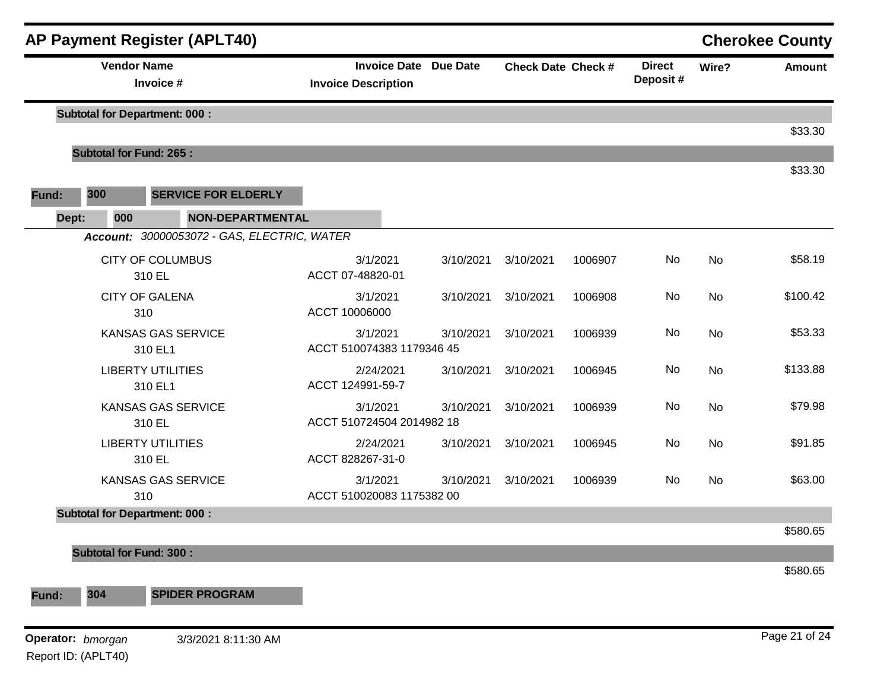|                   |       |                    | <b>AP Payment Register (APLT40)</b>         |                                       |                              |                           |         |                           |           | <b>Cherokee County</b> |
|-------------------|-------|--------------------|---------------------------------------------|---------------------------------------|------------------------------|---------------------------|---------|---------------------------|-----------|------------------------|
|                   |       | <b>Vendor Name</b> | Invoice #                                   | <b>Invoice Description</b>            | <b>Invoice Date Due Date</b> | <b>Check Date Check #</b> |         | <b>Direct</b><br>Deposit# | Wire?     | <b>Amount</b>          |
|                   |       |                    | <b>Subtotal for Department: 000:</b>        |                                       |                              |                           |         |                           |           | \$33.30                |
|                   |       |                    | <b>Subtotal for Fund: 265:</b>              |                                       |                              |                           |         |                           |           |                        |
| Fund:             | 300   |                    | <b>SERVICE FOR ELDERLY</b>                  |                                       |                              |                           |         |                           |           | \$33.30                |
|                   | Dept: | 000                | <b>NON-DEPARTMENTAL</b>                     |                                       |                              |                           |         |                           |           |                        |
|                   |       |                    | Account: 30000053072 - GAS, ELECTRIC, WATER |                                       |                              |                           |         |                           |           |                        |
|                   |       |                    | <b>CITY OF COLUMBUS</b><br>310 EL           | 3/1/2021<br>ACCT 07-48820-01          | 3/10/2021                    | 3/10/2021                 | 1006907 | No                        | <b>No</b> | \$58.19                |
|                   |       |                    | <b>CITY OF GALENA</b><br>310                | 3/1/2021<br>ACCT 10006000             | 3/10/2021                    | 3/10/2021                 | 1006908 | <b>No</b>                 | No        | \$100.42               |
|                   |       |                    | <b>KANSAS GAS SERVICE</b><br>310 EL1        | 3/1/2021<br>ACCT 510074383 1179346 45 | 3/10/2021                    | 3/10/2021                 | 1006939 | No                        | <b>No</b> | \$53.33                |
|                   |       |                    | <b>LIBERTY UTILITIES</b><br>310 EL1         | 2/24/2021<br>ACCT 124991-59-7         | 3/10/2021                    | 3/10/2021                 | 1006945 | No                        | No        | \$133.88               |
|                   |       |                    | <b>KANSAS GAS SERVICE</b><br>310 EL         | 3/1/2021<br>ACCT 510724504 2014982 18 | 3/10/2021                    | 3/10/2021                 | 1006939 | No                        | No        | \$79.98                |
|                   |       |                    | <b>LIBERTY UTILITIES</b><br>310 EL          | 2/24/2021<br>ACCT 828267-31-0         | 3/10/2021                    | 3/10/2021                 | 1006945 | No                        | No        | \$91.85                |
|                   |       |                    | KANSAS GAS SERVICE<br>310                   | 3/1/2021<br>ACCT 510020083 1175382 00 | 3/10/2021                    | 3/10/2021                 | 1006939 | No                        | <b>No</b> | \$63.00                |
|                   |       |                    | <b>Subtotal for Department: 000:</b>        |                                       |                              |                           |         |                           |           |                        |
|                   |       |                    |                                             |                                       |                              |                           |         |                           |           | \$580.65               |
|                   |       |                    | <b>Subtotal for Fund: 300:</b>              |                                       |                              |                           |         |                           |           | \$580.65               |
| Fund:             | 304   |                    | <b>SPIDER PROGRAM</b>                       |                                       |                              |                           |         |                           |           |                        |
| Operator: bmorgan |       |                    | 3/3/2021 8:11:30 AM                         |                                       |                              |                           |         |                           |           | Page 21 of 24          |

Report ID: (APLT40)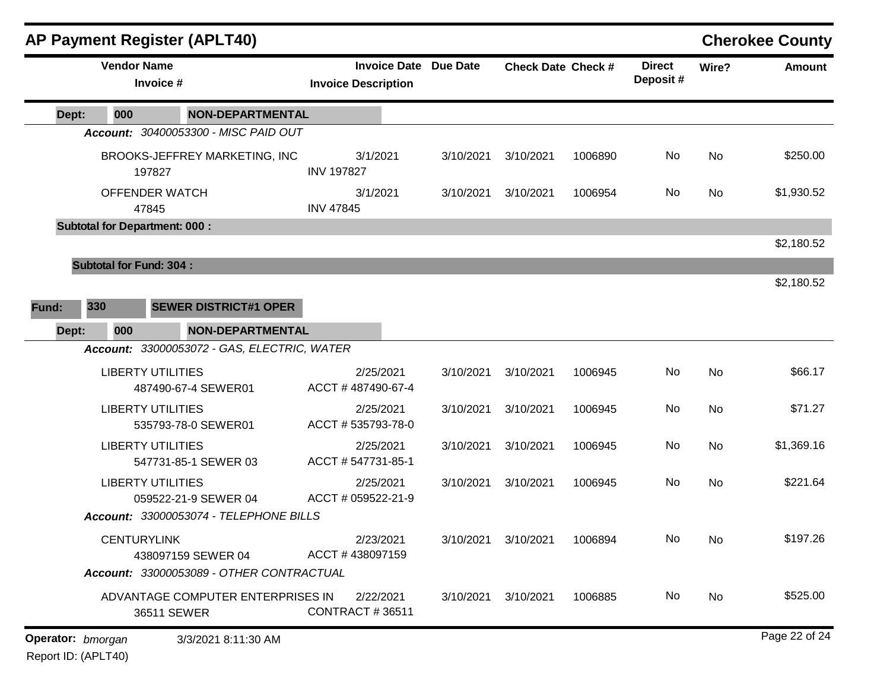|       |                                      | <b>AP Payment Register (APLT40)</b>              |                                     |                              |                           |         |                           |           | <b>Cherokee County</b> |
|-------|--------------------------------------|--------------------------------------------------|-------------------------------------|------------------------------|---------------------------|---------|---------------------------|-----------|------------------------|
|       | <b>Vendor Name</b><br>Invoice #      |                                                  | <b>Invoice Description</b>          | <b>Invoice Date Due Date</b> | <b>Check Date Check #</b> |         | <b>Direct</b><br>Deposit# | Wire?     | <b>Amount</b>          |
| Dept: | 000                                  | <b>NON-DEPARTMENTAL</b>                          |                                     |                              |                           |         |                           |           |                        |
|       |                                      | Account: 30400053300 - MISC PAID OUT             |                                     |                              |                           |         |                           |           |                        |
|       | 197827                               | BROOKS-JEFFREY MARKETING, INC                    | 3/1/2021<br><b>INV 197827</b>       | 3/10/2021                    | 3/10/2021                 | 1006890 | No                        | No        | \$250.00               |
|       | OFFENDER WATCH<br>47845              |                                                  | 3/1/2021<br><b>INV 47845</b>        | 3/10/2021                    | 3/10/2021                 | 1006954 | No                        | No        | \$1,930.52             |
|       | <b>Subtotal for Department: 000:</b> |                                                  |                                     |                              |                           |         |                           |           |                        |
|       |                                      |                                                  |                                     |                              |                           |         |                           |           | \$2,180.52             |
|       | <b>Subtotal for Fund: 304:</b>       |                                                  |                                     |                              |                           |         |                           |           |                        |
|       |                                      |                                                  |                                     |                              |                           |         |                           |           | \$2,180.52             |
| Fund: | 330                                  | <b>SEWER DISTRICT#1 OPER</b>                     |                                     |                              |                           |         |                           |           |                        |
| Dept: | 000                                  | <b>NON-DEPARTMENTAL</b>                          |                                     |                              |                           |         |                           |           |                        |
|       |                                      | Account: 33000053072 - GAS, ELECTRIC, WATER      |                                     |                              |                           |         |                           |           |                        |
|       | <b>LIBERTY UTILITIES</b>             | 487490-67-4 SEWER01                              | 2/25/2021<br>ACCT #487490-67-4      | 3/10/2021                    | 3/10/2021                 | 1006945 | No                        | <b>No</b> | \$66.17                |
|       | <b>LIBERTY UTILITIES</b>             | 535793-78-0 SEWER01                              | 2/25/2021<br>ACCT # 535793-78-0     | 3/10/2021                    | 3/10/2021                 | 1006945 | No                        | No        | \$71.27                |
|       | <b>LIBERTY UTILITIES</b>             | 547731-85-1 SEWER 03                             | 2/25/2021<br>ACCT # 547731-85-1     | 3/10/2021                    | 3/10/2021                 | 1006945 | No                        | <b>No</b> | \$1,369.16             |
|       | <b>LIBERTY UTILITIES</b>             | 059522-21-9 SEWER 04                             | 2/25/2021<br>ACCT # 059522-21-9     | 3/10/2021                    | 3/10/2021                 | 1006945 | No                        | <b>No</b> | \$221.64               |
|       |                                      | Account: 33000053074 - TELEPHONE BILLS           |                                     |                              |                           |         |                           |           |                        |
|       | <b>CENTURYLINK</b>                   | 438097159 SEWER 04                               | 2/23/2021<br>ACCT #438097159        |                              | 3/10/2021 3/10/2021       | 1006894 | No                        | No        | \$197.26               |
|       |                                      | Account: 33000053089 - OTHER CONTRACTUAL         |                                     |                              |                           |         |                           |           |                        |
|       |                                      | ADVANTAGE COMPUTER ENTERPRISES IN<br>36511 SEWER | 2/22/2021<br><b>CONTRACT #36511</b> | 3/10/2021                    | 3/10/2021                 | 1006885 | No                        | No        | \$525.00               |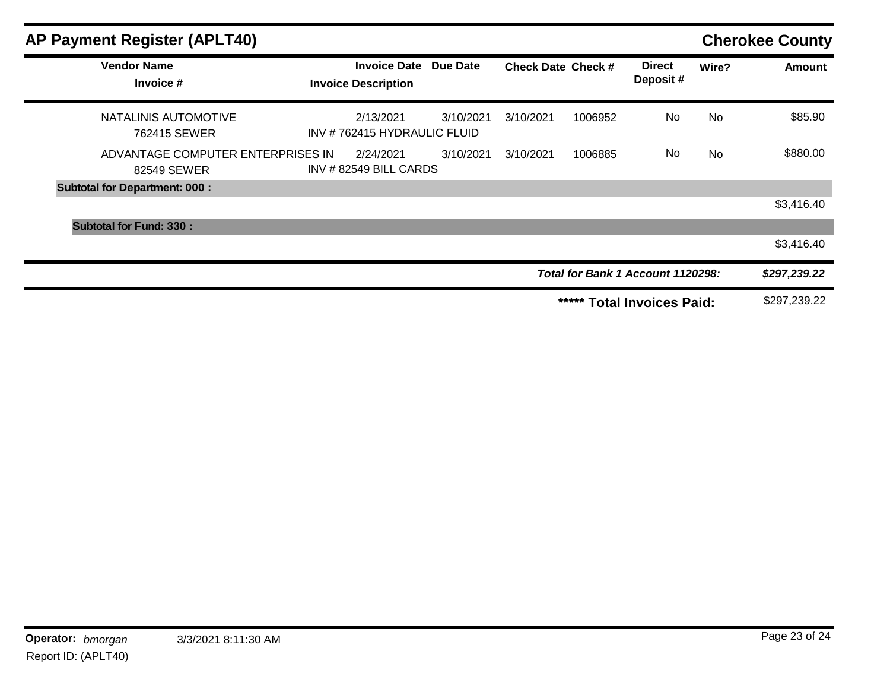| <b>AP Payment Register (APLT40)</b>              |                                                   |           |                           |         |                                   |           | <b>Cherokee County</b> |
|--------------------------------------------------|---------------------------------------------------|-----------|---------------------------|---------|-----------------------------------|-----------|------------------------|
| <b>Vendor Name</b><br>Invoice #                  | <b>Invoice Date</b><br><b>Invoice Description</b> | Due Date  | <b>Check Date Check #</b> |         | <b>Direct</b><br>Deposit#         | Wire?     | <b>Amount</b>          |
| NATALINIS AUTOMOTIVE<br>762415 SEWER             | 2/13/2021<br>INV #762415 HYDRAULIC FLUID          | 3/10/2021 | 3/10/2021                 | 1006952 | No                                | <b>No</b> | \$85.90                |
| ADVANTAGE COMPUTER ENTERPRISES IN<br>82549 SEWER | 2/24/2021<br>INV #82549 BILL CARDS                | 3/10/2021 | 3/10/2021                 | 1006885 | No                                | <b>No</b> | \$880.00               |
| <b>Subtotal for Department: 000:</b>             |                                                   |           |                           |         |                                   |           |                        |
|                                                  |                                                   |           |                           |         |                                   |           | \$3,416.40             |
| <b>Subtotal for Fund: 330:</b>                   |                                                   |           |                           |         |                                   |           |                        |
|                                                  |                                                   |           |                           |         |                                   |           | \$3,416.40             |
|                                                  |                                                   |           |                           |         | Total for Bank 1 Account 1120298: |           | \$297,239.22           |
|                                                  |                                                   |           |                           | *****   | <b>Total Invoices Paid:</b>       |           | \$297,239.22           |